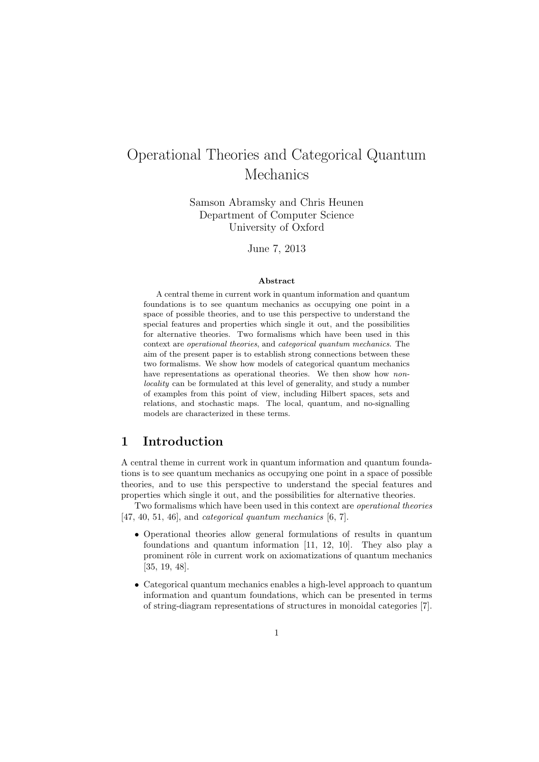# Operational Theories and Categorical Quantum Mechanics

Samson Abramsky and Chris Heunen Department of Computer Science University of Oxford

June 7, 2013

#### Abstract

A central theme in current work in quantum information and quantum foundations is to see quantum mechanics as occupying one point in a space of possible theories, and to use this perspective to understand the special features and properties which single it out, and the possibilities for alternative theories. Two formalisms which have been used in this context are operational theories, and categorical quantum mechanics. The aim of the present paper is to establish strong connections between these two formalisms. We show how models of categorical quantum mechanics have representations as operational theories. We then show how nonlocality can be formulated at this level of generality, and study a number of examples from this point of view, including Hilbert spaces, sets and relations, and stochastic maps. The local, quantum, and no-signalling models are characterized in these terms.

### 1 Introduction

A central theme in current work in quantum information and quantum foundations is to see quantum mechanics as occupying one point in a space of possible theories, and to use this perspective to understand the special features and properties which single it out, and the possibilities for alternative theories.

Two formalisms which have been used in this context are operational theories [47, 40, 51, 46], and categorical quantum mechanics [6, 7].

- Operational theories allow general formulations of results in quantum foundations and quantum information [11, 12, 10]. They also play a prominent rôle in current work on axiomatizations of quantum mechanics [35, 19, 48].
- Categorical quantum mechanics enables a high-level approach to quantum information and quantum foundations, which can be presented in terms of string-diagram representations of structures in monoidal categories [7].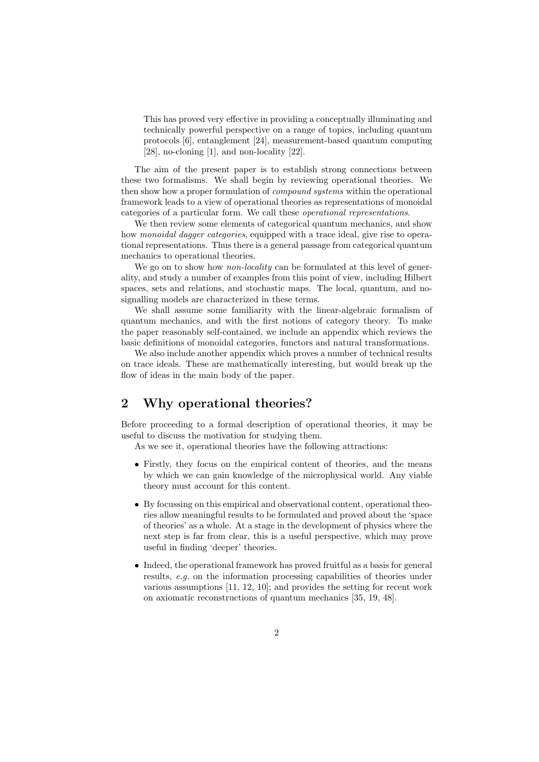This has proved very effective in providing a conceptually illuminating and technically powerful perspective on a range of topics, including quantum protocols [6], entanglement [24], measurement-based quantum computing [28], no-cloning [1], and non-locality [22].

The aim of the present paper is to establish strong connections between these two formalisms. We shall begin by reviewing operational theories. We then show how a proper formulation of compound systems within the operational framework leads to a view of operational theories as representations of monoidal categories of a particular form. We call these operational representations.

We then review some elements of categorical quantum mechanics, and show how *monoidal dagger categories*, equipped with a trace ideal, give rise to operational representations. Thus there is a general passage from categorical quantum mechanics to operational theories.

We go on to show how *non-locality* can be formulated at this level of generality, and study a number of examples from this point of view, including Hilbert spaces, sets and relations, and stochastic maps. The local, quantum, and nosignalling models are characterized in these terms.

We shall assume some familiarity with the linear-algebraic formalism of quantum mechanics, and with the first notions of category theory. To make the paper reasonably self-contained, we include an appendix which reviews the basic definitions of monoidal categories, functors and natural transformations.

We also include another appendix which proves a number of technical results on trace ideals. These are mathematically interesting, but would break up the flow of ideas in the main body of the paper.

### 2 Why operational theories?

Before proceeding to a formal description of operational theories, it may be useful to discuss the motivation for studying them.

As we see it, operational theories have the following attractions:

- Firstly, they focus on the empirical content of theories, and the means by which we can gain knowledge of the microphysical world. Any viable theory must account for this content.
- By focussing on this empirical and observational content, operational theories allow meaningful results to be formulated and proved about the 'space of theories' as a whole. At a stage in the development of physics where the next step is far from clear, this is a useful perspective, which may prove useful in finding 'deeper' theories.
- Indeed, the operational framework has proved fruitful as a basis for general results, e.g. on the information processing capabilities of theories under various assumptions [11, 12, 10]; and provides the setting for recent work on axiomatic reconstructions of quantum mechanics [35, 19, 48].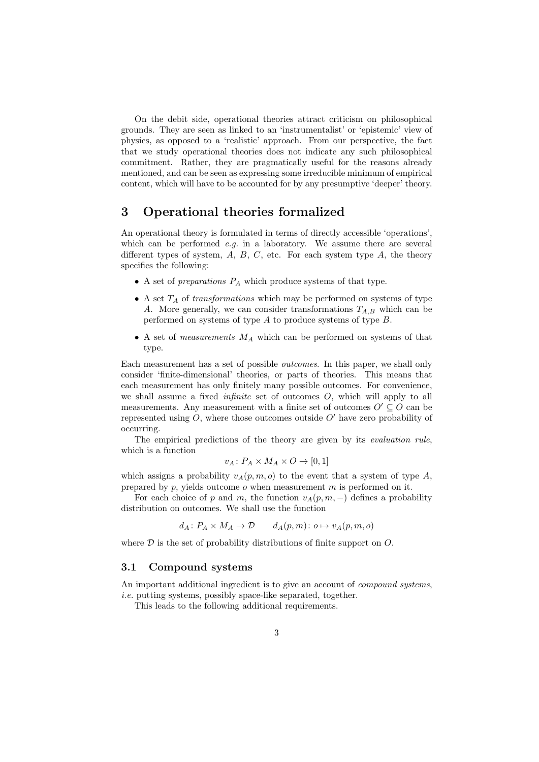On the debit side, operational theories attract criticism on philosophical grounds. They are seen as linked to an 'instrumentalist' or 'epistemic' view of physics, as opposed to a 'realistic' approach. From our perspective, the fact that we study operational theories does not indicate any such philosophical commitment. Rather, they are pragmatically useful for the reasons already mentioned, and can be seen as expressing some irreducible minimum of empirical content, which will have to be accounted for by any presumptive 'deeper' theory.

### 3 Operational theories formalized

An operational theory is formulated in terms of directly accessible 'operations', which can be performed  $e.g.$  in a laboratory. We assume there are several different types of system,  $A, B, C$ , etc. For each system type  $A$ , the theory specifies the following:

- $\bullet$  A set of *preparations*  $P_A$  which produce systems of that type.
- A set  $T_A$  of transformations which may be performed on systems of type A. More generally, we can consider transformations  $T_{A,B}$  which can be performed on systems of type A to produce systems of type B.
- A set of *measurements*  $M_A$  which can be performed on systems of that type.

Each measurement has a set of possible outcomes. In this paper, we shall only consider 'finite-dimensional' theories, or parts of theories. This means that each measurement has only finitely many possible outcomes. For convenience, we shall assume a fixed infinite set of outcomes O, which will apply to all measurements. Any measurement with a finite set of outcomes  $O' \subseteq O$  can be represented using  $O$ , where those outcomes outside  $O'$  have zero probability of occurring.

The empirical predictions of the theory are given by its evaluation rule, which is a function

$$
v_A \colon P_A \times M_A \times O \to [0,1]
$$

which assigns a probability  $v_A(p, m, o)$  to the event that a system of type A, prepared by  $p$ , yields outcome  $o$  when measurement  $m$  is performed on it.

For each choice of p and m, the function  $v_A(p, m, -)$  defines a probability distribution on outcomes. We shall use the function

$$
d_A \colon P_A \times M_A \to \mathcal{D} \qquad d_A(p,m) \colon o \mapsto v_A(p,m,o)
$$

where  $D$  is the set of probability distributions of finite support on  $O$ .

#### 3.1 Compound systems

An important additional ingredient is to give an account of *compound systems*, i.e. putting systems, possibly space-like separated, together.

This leads to the following additional requirements.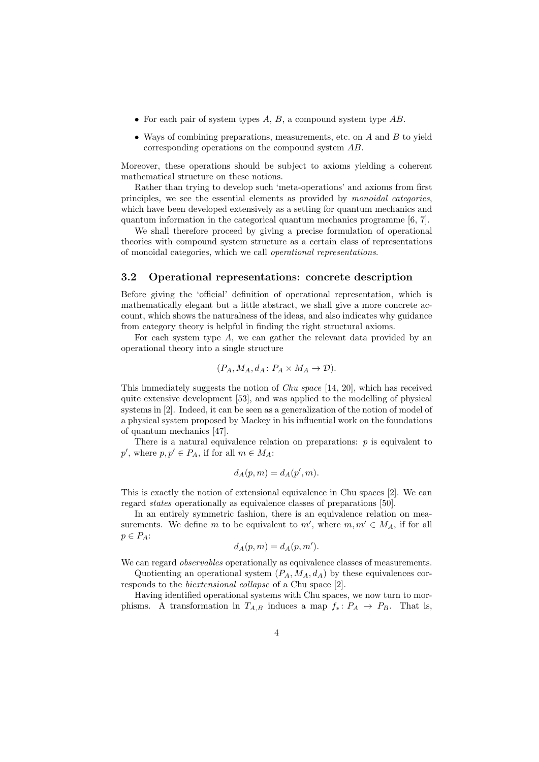- For each pair of system types  $A, B$ , a compound system type  $AB$ .
- Ways of combining preparations, measurements, etc. on  $A$  and  $B$  to yield corresponding operations on the compound system AB.

Moreover, these operations should be subject to axioms yielding a coherent mathematical structure on these notions.

Rather than trying to develop such 'meta-operations' and axioms from first principles, we see the essential elements as provided by monoidal categories, which have been developed extensively as a setting for quantum mechanics and quantum information in the categorical quantum mechanics programme [6, 7].

We shall therefore proceed by giving a precise formulation of operational theories with compound system structure as a certain class of representations of monoidal categories, which we call operational representations.

### 3.2 Operational representations: concrete description

Before giving the 'official' definition of operational representation, which is mathematically elegant but a little abstract, we shall give a more concrete account, which shows the naturalness of the ideas, and also indicates why guidance from category theory is helpful in finding the right structural axioms.

For each system type  $A$ , we can gather the relevant data provided by an operational theory into a single structure

$$
(P_A, M_A, d_A: P_A \times M_A \to \mathcal{D}).
$$

This immediately suggests the notion of Chu space [14, 20], which has received quite extensive development [53], and was applied to the modelling of physical systems in [2]. Indeed, it can be seen as a generalization of the notion of model of a physical system proposed by Mackey in his influential work on the foundations of quantum mechanics [47].

There is a natural equivalence relation on preparations:  $p$  is equivalent to  $p'$ , where  $p, p' \in P_A$ , if for all  $m \in M_A$ :

$$
d_A(p,m) = d_A(p',m).
$$

This is exactly the notion of extensional equivalence in Chu spaces [2]. We can regard states operationally as equivalence classes of preparations [50].

In an entirely symmetric fashion, there is an equivalence relation on measurements. We define m to be equivalent to  $m'$ , where  $m, m' \in M_A$ , if for all  $p \in P_A$ :

$$
d_A(p,m) = d_A(p,m').
$$

We can regard *observables* operationally as equivalence classes of measurements. Quotienting an operational system  $(P_A, M_A, d_A)$  by these equivalences cor-

responds to the biextensional collapse of a Chu space [2]. Having identified operational systems with Chu spaces, we now turn to morphisms. A transformation in  $T_{A,B}$  induces a map  $f_*: P_A \to P_B$ . That is,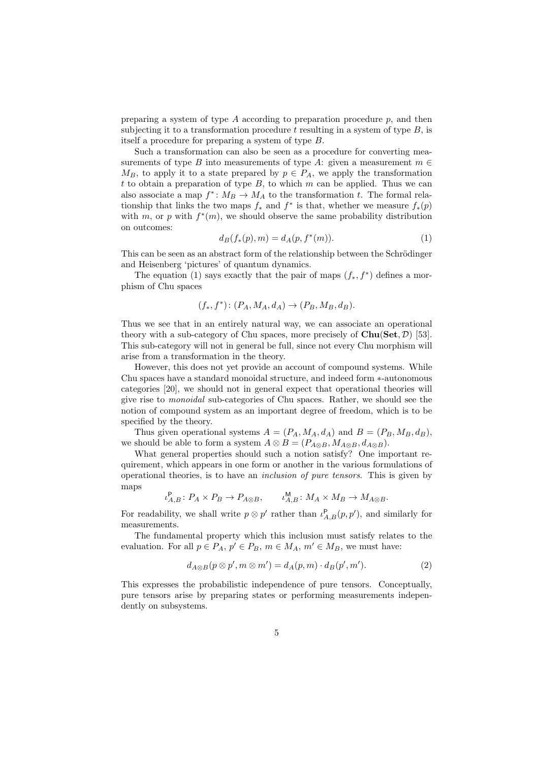preparing a system of type  $A$  according to preparation procedure  $p$ , and then subjecting it to a transformation procedure  $t$  resulting in a system of type  $B$ , is itself a procedure for preparing a system of type B.

Such a transformation can also be seen as a procedure for converting measurements of type B into measurements of type A: given a measurement  $m \in$  $M_B$ , to apply it to a state prepared by  $p \in P_A$ , we apply the transformation t to obtain a preparation of type  $B$ , to which  $m$  can be applied. Thus we can also associate a map  $f^*: M_B \to M_A$  to the transformation t. The formal relationship that links the two maps  $f_*$  and  $f^*$  is that, whether we measure  $f_*(p)$ with m, or p with  $f^*(m)$ , we should observe the same probability distribution on outcomes:

$$
d_B(f_*(p), m) = d_A(p, f^*(m)).
$$
\n(1)

This can be seen as an abstract form of the relationship between the Schrödinger and Heisenberg 'pictures' of quantum dynamics.

The equation (1) says exactly that the pair of maps  $(f_*, f^*)$  defines a morphism of Chu spaces

$$
(f_*, f^*)\colon (P_A, M_A, d_A) \to (P_B, M_B, d_B).
$$

Thus we see that in an entirely natural way, we can associate an operational theory with a sub-category of Chu spaces, more precisely of  $\text{Chu}(\text{Set}, \mathcal{D})$  [53]. This sub-category will not in general be full, since not every Chu morphism will arise from a transformation in the theory.

However, this does not yet provide an account of compound systems. While Chu spaces have a standard monoidal structure, and indeed form ∗-autonomous categories [20], we should not in general expect that operational theories will give rise to monoidal sub-categories of Chu spaces. Rather, we should see the notion of compound system as an important degree of freedom, which is to be specified by the theory.

Thus given operational systems  $A = (P_A, M_A, d_A)$  and  $B = (P_B, M_B, d_B)$ , we should be able to form a system  $A \otimes B = (P_{A \otimes B}, M_{A \otimes B}, d_{A \otimes B}).$ 

What general properties should such a notion satisfy? One important requirement, which appears in one form or another in the various formulations of operational theories, is to have an inclusion of pure tensors. This is given by maps

$$
\iota_{A,B}^{\mathsf{P}}\colon P_A \times P_B \to P_{A \otimes B}, \qquad \iota_{A,B}^{\mathsf{M}}\colon M_A \times M_B \to M_{A \otimes B}.
$$

For readability, we shall write  $p \otimes p'$  rather than  $\iota_{A,B}^{\mathsf{P}}(p,p')$ , and similarly for measurements.

The fundamental property which this inclusion must satisfy relates to the evaluation. For all  $p \in P_A$ ,  $p' \in P_B$ ,  $m \in M_A$ ,  $m' \in M_B$ , we must have:

$$
d_{A\otimes B}(p\otimes p', m\otimes m') = d_A(p, m) \cdot d_B(p', m'). \tag{2}
$$

This expresses the probabilistic independence of pure tensors. Conceptually, pure tensors arise by preparing states or performing measurements independently on subsystems.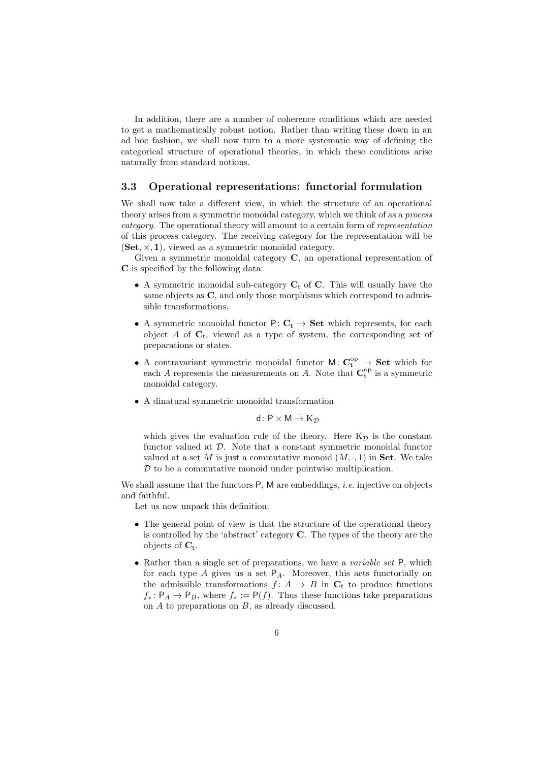In addition, there are a number of coherence conditions which are needed to get a mathematically robust notion. Rather than writing these down in an ad hoc fashion, we shall now turn to a more systematic way of defining the categorical structure of operational theories, in which these conditions arise naturally from standard notions.

### 3.3 Operational representations: functorial formulation

We shall now take a different view, in which the structure of an operational theory arises from a symmetric monoidal category, which we think of as a process category. The operational theory will amount to a certain form of representation of this process category. The receiving category for the representation will be  $(Set, \times, 1)$ , viewed as a symmetric monoidal category.

Given a symmetric monoidal category C, an operational representation of C is specified by the following data:

- A symmetric monoidal sub-category  $C_t$  of C. This will usually have the same objects as  $C$ , and only those morphisms which correspond to admissible transformations.
- A symmetric monoidal functor  $P: C_t \to Set$  which represents, for each object  $A$  of  $C_t$ , viewed as a type of system, the corresponding set of preparations or states.
- A contravariant symmetric monoidal functor  $M: C_t^{op} \to \mathbf{Set}$  which for each A represents the measurements on A. Note that  $\mathbf{C}_{t}^{\mathrm{op}}$  is a symmetric monoidal category.
- A dinatural symmetric monoidal transformation

$$
d\colon P\times M\stackrel{\cdot\cdot\cdot}{\to} \mathrm{K}_\mathcal{D}
$$

which gives the evaluation rule of the theory. Here  $K_{\mathcal{D}}$  is the constant functor valued at  $D$ . Note that a constant symmetric monoidal functor valued at a set M is just a commutative monoid  $(M, \cdot, 1)$  in **Set**. We take  $D$  to be a commutative monoid under pointwise multiplication.

We shall assume that the functors  $P$ , M are embeddings, *i.e.* injective on objects and faithful.

Let us now unpack this definition.

- The general point of view is that the structure of the operational theory is controlled by the 'abstract' category C. The types of the theory are the objects of  $C_t$ .
- Rather than a single set of preparations, we have a *variable set* P, which for each type  $A$  gives us a set  $P_A$ . Moreover, this acts functorially on the admissible transformations  $f: A \rightarrow B$  in  $C_t$  to produce functions  $f_* : \mathsf{P}_A \to \mathsf{P}_B$ , where  $f_* := \mathsf{P}(f)$ . Thus these functions take preparations on A to preparations on B, as already discussed.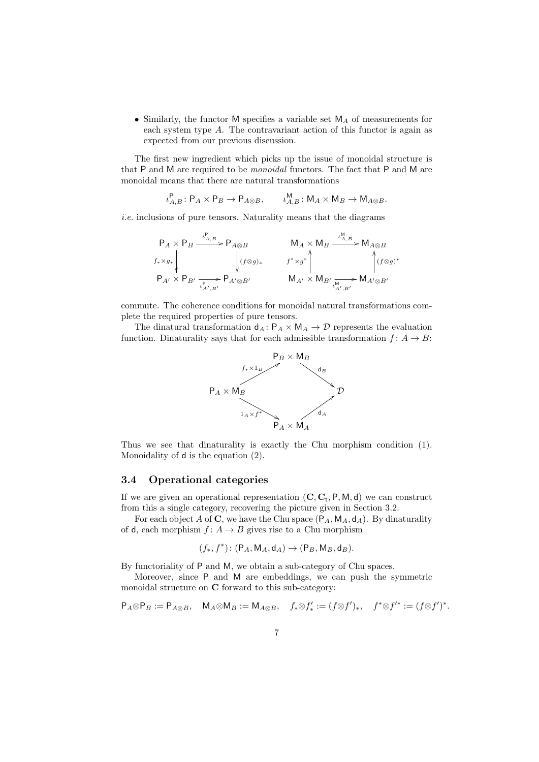• Similarly, the functor M specifies a variable set  $M_A$  of measurements for each system type A. The contravariant action of this functor is again as expected from our previous discussion.

The first new ingredient which picks up the issue of monoidal structure is that P and M are required to be monoidal functors. The fact that P and M are monoidal means that there are natural transformations

$$
\iota_{A,B}^{\mathsf{P}}\colon \mathsf{P}_A\times\mathsf{P}_B\to \mathsf{P}_{A\otimes B},\qquad \iota_{A,B}^{\mathsf{M}}\colon \mathsf{M}_A\times\mathsf{M}_B\to \mathsf{M}_{A\otimes B}.
$$

i.e. inclusions of pure tensors. Naturality means that the diagrams

$$
\begin{array}{ccc}\n\mathsf{P}_A \times \mathsf{P}_B \xrightarrow{\iota^{\mathsf{P}}_{A,B}} \mathsf{P}_{A \otimes B} & & \mathsf{M}_A \times \mathsf{M}_B \xrightarrow{\iota^{\mathsf{M}}_{A,B}} \mathsf{M}_{A \otimes B} \\
f_* \times g_* & & \downarrow \\
\mathsf{P}_{A'} \times \mathsf{P}_{B'} \xrightarrow{\iota^{\mathsf{P}}_{A',B'}} \mathsf{P}_{A' \otimes B'} & & \mathsf{M}_{A'} \times \mathsf{M}_{B'} \xrightarrow{\iota^{\mathsf{M}}_{A',B'}} \mathsf{M}_{A' \otimes B'}\n\end{array}
$$

commute. The coherence conditions for monoidal natural transformations complete the required properties of pure tensors.

The dinatural transformation  $d_A: P_A \times M_A \rightarrow \mathcal{D}$  represents the evaluation function. Dinaturality says that for each admissible transformation  $f: A \rightarrow B$ :



Thus we see that dinaturality is exactly the Chu morphism condition (1). Monoidality of d is the equation (2).

### 3.4 Operational categories

If we are given an operational representation  $(C, C_t, P, M, d)$  we can construct from this a single category, recovering the picture given in Section 3.2.

For each object A of C, we have the Chu space  $(P_A, M_A, d_A)$ . By dinaturality of d, each morphism  $f: A \rightarrow B$  gives rise to a Chu morphism

$$
(f_*, f^*)\colon (\mathsf{P}_A, \mathsf{M}_A, \mathsf{d}_A) \to (\mathsf{P}_B, \mathsf{M}_B, \mathsf{d}_B).
$$

By functoriality of P and M, we obtain a sub-category of Chu spaces.

Moreover, since P and M are embeddings, we can push the symmetric monoidal structure on C forward to this sub-category:

$$
\mathsf{P}_A \otimes \mathsf{P}_B := \mathsf{P}_{A \otimes B}, \quad \mathsf{M}_A \otimes \mathsf{M}_B := \mathsf{M}_{A \otimes B}, \quad f_* \otimes f'_* := (f \otimes f')_*, \quad f^* \otimes f'^* := (f \otimes f')^*.
$$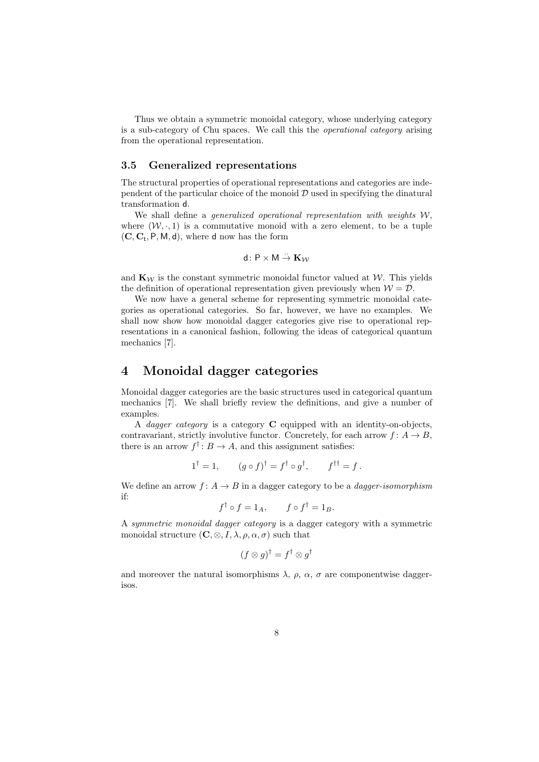Thus we obtain a symmetric monoidal category, whose underlying category is a sub-category of Chu spaces. We call this the operational category arising from the operational representation.

### 3.5 Generalized representations

The structural properties of operational representations and categories are independent of the particular choice of the monoid  $\mathcal D$  used in specifying the dinatural transformation d.

We shall define a *generalized operational representation with weights*  $W$ , where  $(W, \cdot, 1)$  is a commutative monoid with a zero element, to be a tuple  $(C, C_t, P, M, d)$ , where d now has the form

$$
d\colon P\times M\stackrel{\cdot\cdot}{\to} \mathbf{K}_{\mathcal{W}}
$$

and  $\mathbf{K}_{\mathcal{W}}$  is the constant symmetric monoidal functor valued at W. This yields the definition of operational representation given previously when  $W = D$ .

We now have a general scheme for representing symmetric monoidal categories as operational categories. So far, however, we have no examples. We shall now show how monoidal dagger categories give rise to operational representations in a canonical fashion, following the ideas of categorical quantum mechanics [7].

### 4 Monoidal dagger categories

Monoidal dagger categories are the basic structures used in categorical quantum mechanics [7]. We shall briefly review the definitions, and give a number of examples.

A *dagger category* is a category  $C$  equipped with an identity-on-objects, contravariant, strictly involutive functor. Concretely, for each arrow  $f: A \to B$ , there is an arrow  $f^{\dagger}: B \to A$ , and this assignment satisfies:

$$
1^{\dagger} = 1, \qquad (g \circ f)^{\dagger} = f^{\dagger} \circ g^{\dagger}, \qquad f^{\dagger \dagger} = f.
$$

We define an arrow  $f: A \rightarrow B$  in a dagger category to be a *dagger-isomorphism* if:

$$
f^{\dagger} \circ f = 1_A, \qquad f \circ f^{\dagger} = 1_B.
$$

A symmetric monoidal dagger category is a dagger category with a symmetric monoidal structure  $(C, \otimes, I, \lambda, \rho, \alpha, \sigma)$  such that

$$
(f \otimes g)^{\dagger} = f^{\dagger} \otimes g^{\dagger}
$$

and moreover the natural isomorphisms  $\lambda$ ,  $\rho$ ,  $\alpha$ ,  $\sigma$  are componentwise daggerisos.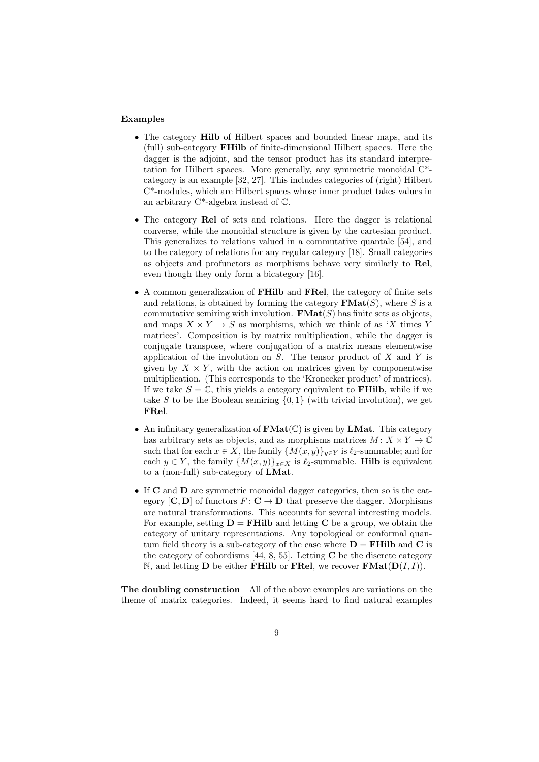#### Examples

- The category **Hilb** of Hilbert spaces and bounded linear maps, and its (full) sub-category FHilb of finite-dimensional Hilbert spaces. Here the dagger is the adjoint, and the tensor product has its standard interpretation for Hilbert spaces. More generally, any symmetric monoidal C\* category is an example [32, 27]. This includes categories of (right) Hilbert C\*-modules, which are Hilbert spaces whose inner product takes values in an arbitrary  $C^*$ -algebra instead of  $\mathbb{C}$ .
- The category Rel of sets and relations. Here the dagger is relational converse, while the monoidal structure is given by the cartesian product. This generalizes to relations valued in a commutative quantale [54], and to the category of relations for any regular category [18]. Small categories as objects and profunctors as morphisms behave very similarly to Rel, even though they only form a bicategory [16].
- A common generalization of FHilb and FRel, the category of finite sets and relations, is obtained by forming the category  $\textbf{FMat}(S)$ , where S is a commutative semiring with involution.  $\mathbf{FMat}(S)$  has finite sets as objects, and maps  $X \times Y \to S$  as morphisms, which we think of as 'X times Y matrices'. Composition is by matrix multiplication, while the dagger is conjugate transpose, where conjugation of a matrix means elementwise application of the involution on  $S$ . The tensor product of  $X$  and  $Y$  is given by  $X \times Y$ , with the action on matrices given by componentwise multiplication. (This corresponds to the 'Kronecker product' of matrices). If we take  $S = \mathbb{C}$ , this yields a category equivalent to **FHilb**, while if we take S to be the Boolean semiring  $\{0,1\}$  (with trivial involution), we get FRel.
- An infinitary generalization of  $\text{FMat}(\mathbb{C})$  is given by **LMat**. This category has arbitrary sets as objects, and as morphisms matrices  $M: X \times Y \to \mathbb{C}$ such that for each  $x \in X$ , the family  $\{M(x, y)\}_{y \in Y}$  is  $\ell_2$ -summable; and for each  $y \in Y$ , the family  $\{M(x, y)\}_{x \in X}$  is  $\ell_2$ -summable. **Hilb** is equivalent to a (non-full) sub-category of LMat.
- If C and D are symmetric monoidal dagger categories, then so is the category  $[C, D]$  of functors  $F: C \to D$  that preserve the dagger. Morphisms are natural transformations. This accounts for several interesting models. For example, setting  $D = FHilb$  and letting C be a group, we obtain the category of unitary representations. Any topological or conformal quantum field theory is a sub-category of the case where  $D = FHilb$  and C is the category of cobordisms [44, 8, 55]. Letting  $C$  be the discrete category N, and letting **D** be either **FHilb** or **FRel**, we recover **FMat** $(D(I, I))$ .

The doubling construction All of the above examples are variations on the theme of matrix categories. Indeed, it seems hard to find natural examples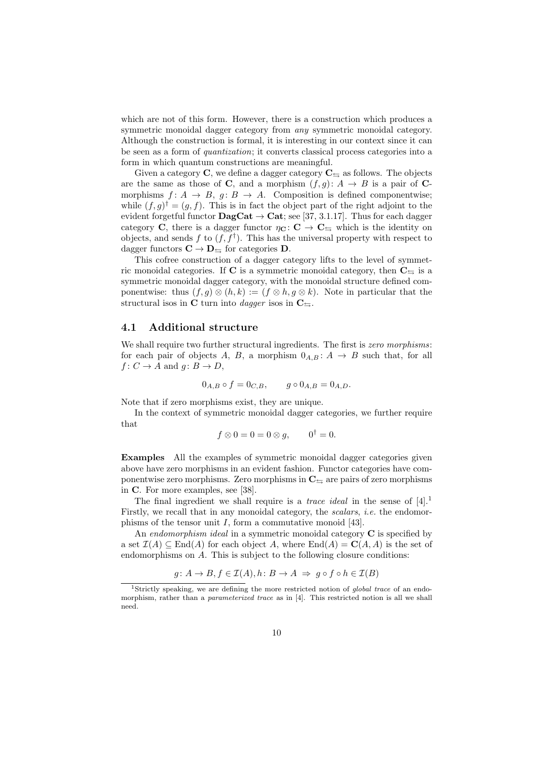which are not of this form. However, there is a construction which produces a symmetric monoidal dagger category from any symmetric monoidal category. Although the construction is formal, it is interesting in our context since it can be seen as a form of quantization; it converts classical process categories into a form in which quantum constructions are meaningful.

Given a category C, we define a dagger category  $C_{\leq}$  as follows. The objects are the same as those of C, and a morphism  $(f, q): A \to B$  is a pair of Cmorphisms  $f: A \rightarrow B$ ,  $q: B \rightarrow A$ . Composition is defined componentwise: while  $(f, g)^\dagger = (g, f)$ . This is in fact the object part of the right adjoint to the evident forgetful functor  $\text{DagCat} \to \text{Cat}$ ; see [37, 3.1.17]. Thus for each dagger category C, there is a dagger functor  $\eta_{\mathbf{C}}: \mathbf{C} \to \mathbf{C}_{\leq}$  which is the identity on objects, and sends f to  $(f, f^{\dagger})$ . This has the universal property with respect to dagger functors  $C \to D_{\overline{\omega}}$  for categories D.

This cofree construction of a dagger category lifts to the level of symmetric monoidal categories. If C is a symmetric monoidal category, then  $C_{\pm}$  is a symmetric monoidal dagger category, with the monoidal structure defined componentwise: thus  $(f, g) \otimes (h, k) := (f \otimes h, g \otimes k)$ . Note in particular that the structural isos in C turn into *dagger* isos in  $C_{\leq}$ .

### 4.1 Additional structure

We shall require two further structural ingredients. The first is zero morphisms: for each pair of objects A, B, a morphism  $0_{A,B}: A \rightarrow B$  such that, for all  $f: C \to A$  and  $g: B \to D$ ,

$$
0_{A,B} \circ f = 0_{C,B}, \qquad g \circ 0_{A,B} = 0_{A,D}.
$$

Note that if zero morphisms exist, they are unique.

In the context of symmetric monoidal dagger categories, we further require that

$$
f \otimes 0 = 0 = 0 \otimes g, \qquad 0^{\dagger} = 0.
$$

Examples All the examples of symmetric monoidal dagger categories given above have zero morphisms in an evident fashion. Functor categories have componentwise zero morphisms. Zero morphisms in  $C_{\leq}$  are pairs of zero morphisms in C. For more examples, see [38].

The final ingredient we shall require is a *trace ideal* in the sense of  $[4].<sup>1</sup>$ Firstly, we recall that in any monoidal category, the scalars, i.e. the endomorphisms of the tensor unit  $I$ , form a commutative monoid [43].

An endomorphism ideal in a symmetric monoidal category  $C$  is specified by a set  $\mathcal{I}(A) \subseteq \text{End}(A)$  for each object A, where  $\text{End}(A) = \mathbf{C}(A, A)$  is the set of endomorphisms on A. This is subject to the following closure conditions:

$$
g \colon A \to B, f \in \mathcal{I}(A), h \colon B \to A \implies g \circ f \circ h \in \mathcal{I}(B)
$$

<sup>&</sup>lt;sup>1</sup>Strictly speaking, we are defining the more restricted notion of *global trace* of an endomorphism, rather than a parameterized trace as in [4]. This restricted notion is all we shall need.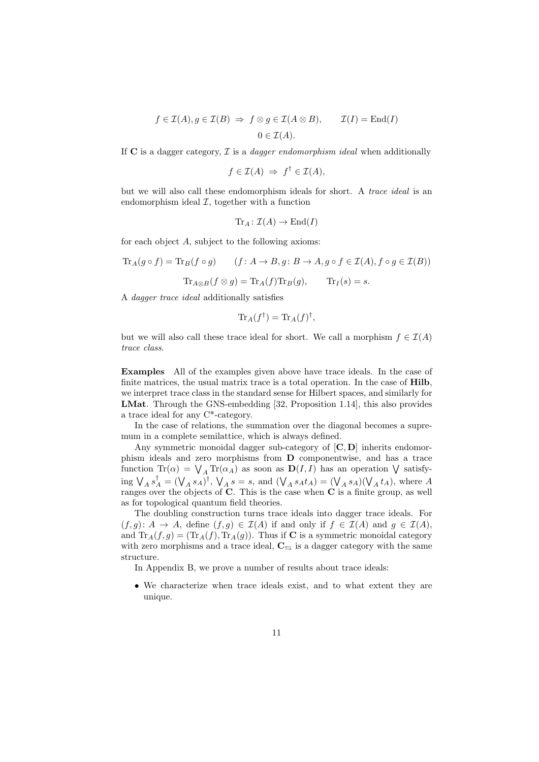$$
f \in \mathcal{I}(A), g \in \mathcal{I}(B) \Rightarrow f \otimes g \in \mathcal{I}(A \otimes B), \qquad \mathcal{I}(I) = \text{End}(I)
$$
  
 $0 \in \mathcal{I}(A).$ 

If  $C$  is a dagger category,  $\mathcal I$  is a *dagger endomorphism ideal* when additionally

$$
f \in \mathcal{I}(A) \Rightarrow f^{\dagger} \in \mathcal{I}(A),
$$

but we will also call these endomorphism ideals for short. A trace ideal is an endomorphism ideal  $I$ , together with a function

$$
\text{Tr}_A\colon \mathcal{I}(A)\to \text{End}(I)
$$

for each object A, subject to the following axioms:

$$
\operatorname{Tr}_A(g \circ f) = \operatorname{Tr}_B(f \circ g) \qquad (f \colon A \to B, g \colon B \to A, g \circ f \in \mathcal{I}(A), f \circ g \in \mathcal{I}(B))
$$

$$
\operatorname{Tr}_{A \otimes B}(f \otimes g) = \operatorname{Tr}_A(f) \operatorname{Tr}_B(g), \qquad \operatorname{Tr}_I(s) = s.
$$

A dagger trace ideal additionally satisfies

$$
\text{Tr}_A(f^{\dagger}) = \text{Tr}_A(f)^{\dagger},
$$

but we will also call these trace ideal for short. We call a morphism  $f \in \mathcal{I}(A)$ trace class.

Examples All of the examples given above have trace ideals. In the case of finite matrices, the usual matrix trace is a total operation. In the case of Hilb, we interpret trace class in the standard sense for Hilbert spaces, and similarly for LMat. Through the GNS-embedding [32, Proposition 1.14], this also provides a trace ideal for any C\*-category.

In the case of relations, the summation over the diagonal becomes a supremum in a complete semilattice, which is always defined.

Any symmetric monoidal dagger sub-category of  $[C, D]$  inherits endomorphism ideals and zero morphisms from D componentwise, and has a trace function  $\text{Tr}(\alpha) = \bigvee_A \text{Tr}(\alpha_A)$  as soon as  $\mathbf{D}(I, I)$  has an operation  $\bigvee$  satisfying  $\bigvee_A s_A^{\dagger} = (\bigvee_A s_A)^{\dagger}$ ,  $\bigvee_A s = s$ , and  $(\bigvee_A s_A t_A) = (\bigvee_A s_A)(\bigvee_A t_A)$ , where A ranges over the objects of  $C$ . This is the case when  $C$  is a finite group, as well as for topological quantum field theories.

The doubling construction turns trace ideals into dagger trace ideals. For  $(f,g): A \to A$ , define  $(f,g) \in \mathcal{I}(A)$  if and only if  $f \in \mathcal{I}(A)$  and  $g \in \mathcal{I}(A)$ , and  $\text{Tr}_A(f,g) = (\text{Tr}_A(f), \text{Tr}_A(g))$ . Thus if **C** is a symmetric monoidal category with zero morphisms and a trace ideal,  $C_{\leq i}$  is a dagger category with the same structure.

In Appendix B, we prove a number of results about trace ideals:

• We characterize when trace ideals exist, and to what extent they are unique.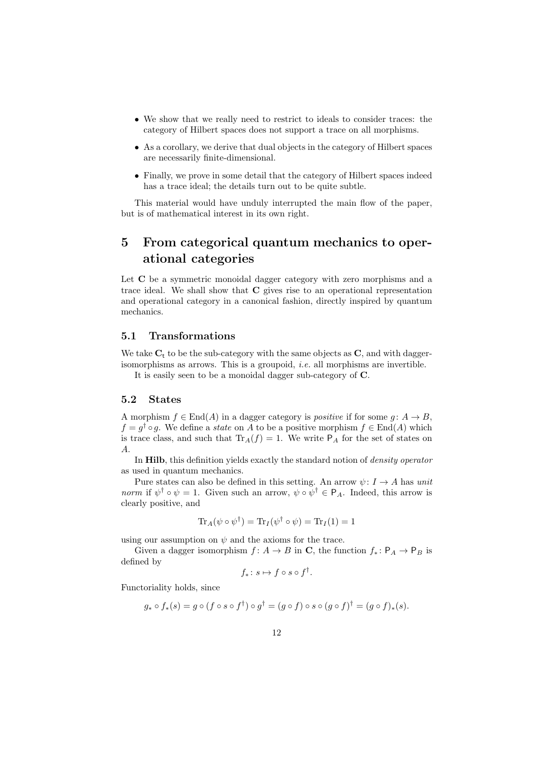- We show that we really need to restrict to ideals to consider traces: the category of Hilbert spaces does not support a trace on all morphisms.
- As a corollary, we derive that dual objects in the category of Hilbert spaces are necessarily finite-dimensional.
- Finally, we prove in some detail that the category of Hilbert spaces indeed has a trace ideal; the details turn out to be quite subtle.

This material would have unduly interrupted the main flow of the paper, but is of mathematical interest in its own right.

## 5 From categorical quantum mechanics to operational categories

Let C be a symmetric monoidal dagger category with zero morphisms and a trace ideal. We shall show that C gives rise to an operational representation and operational category in a canonical fashion, directly inspired by quantum mechanics.

### 5.1 Transformations

We take  $C_t$  to be the sub-category with the same objects as  $C$ , and with daggerisomorphisms as arrows. This is a groupoid, i.e. all morphisms are invertible.

It is easily seen to be a monoidal dagger sub-category of C.

#### 5.2 States

A morphism  $f \in End(A)$  in a dagger category is *positive* if for some  $g: A \to B$ ,  $f = g^{\dagger} \circ g$ . We define a *state* on A to be a positive morphism  $f \in End(A)$  which is trace class, and such that  $\text{Tr}_A(f) = 1$ . We write  $P_A$  for the set of states on A.

In Hilb, this definition yields exactly the standard notion of *density operator* as used in quantum mechanics.

Pure states can also be defined in this setting. An arrow  $\psi: I \to A$  has unit norm if  $\psi^{\dagger} \circ \psi = 1$ . Given such an arrow,  $\psi \circ \psi^{\dagger} \in P_A$ . Indeed, this arrow is clearly positive, and

$$
\text{Tr}_A(\psi \circ \psi^{\dagger}) = \text{Tr}_I(\psi^{\dagger} \circ \psi) = \text{Tr}_I(1) = 1
$$

using our assumption on  $\psi$  and the axioms for the trace.

Given a dagger isomorphism  $f: A \to B$  in C, the function  $f_*: \mathsf{P}_A \to \mathsf{P}_B$  is defined by

$$
f_* \colon s \mapsto f \circ s \circ f^{\dagger}.
$$

Functoriality holds, since

$$
g_* \circ f_*(s) = g \circ (f \circ s \circ f^{\dagger}) \circ g^{\dagger} = (g \circ f) \circ s \circ (g \circ f)^{\dagger} = (g \circ f)_*(s).
$$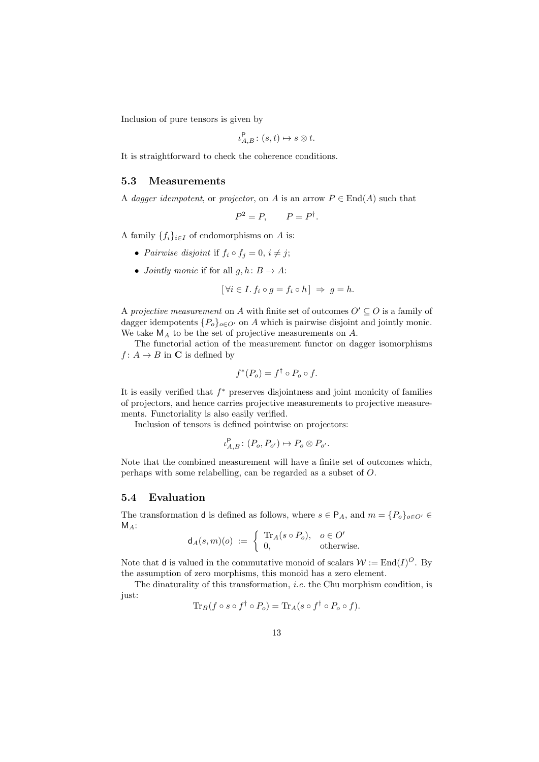Inclusion of pure tensors is given by

$$
\iota_{A,B}^{\mathsf{P}}\colon (s,t)\mapsto s\otimes t.
$$

It is straightforward to check the coherence conditions.

### 5.3 Measurements

A dagger idempotent, or projector, on A is an arrow  $P \in \text{End}(A)$  such that

$$
P^2 = P, \qquad P = P^{\dagger}.
$$

A family  ${f_i}_{i \in I}$  of endomorphisms on A is:

- Pairwise disjoint if  $f_i \circ f_j = 0, i \neq j;$
- *Jointly monic* if for all  $q, h: B \to A$ :

$$
[\forall i \in I. f_i \circ g = f_i \circ h] \Rightarrow g = h.
$$

A projective measurement on A with finite set of outcomes  $O' \subseteq O$  is a family of dagger idempotents  ${P_o}_{o \in O}$  on A which is pairwise disjoint and jointly monic. We take  $M_A$  to be the set of projective measurements on A.

The functorial action of the measurement functor on dagger isomorphisms  $f: A \to B$  in **C** is defined by

$$
f^*(P_o) = f^{\dagger} \circ P_o \circ f.
$$

It is easily verified that  $f^*$  preserves disjointness and joint monicity of families of projectors, and hence carries projective measurements to projective measurements. Functoriality is also easily verified.

Inclusion of tensors is defined pointwise on projectors:

$$
\iota_{A,B}^{\mathsf{P}}\colon (P_o, P_{o'}) \mapsto P_o \otimes P_{o'}.
$$

Note that the combined measurement will have a finite set of outcomes which, perhaps with some relabelling, can be regarded as a subset of O.

### 5.4 Evaluation

The transformation **d** is defined as follows, where  $s \in P_A$ , and  $m = \{P_o\}_{o \in O'} \in$  $M_A$ :

$$
\mathsf{d}_A(s,m)(o) := \left\{ \begin{array}{ll} \text{Tr}_A(s \circ P_o), & o \in O' \\ 0, & \text{otherwise.} \end{array} \right.
$$

Note that **d** is valued in the commutative monoid of scalars  $W := \text{End}(I)^{O}$ . By the assumption of zero morphisms, this monoid has a zero element.

The dinaturality of this transformation, i.e. the Chu morphism condition, is just:

$$
\operatorname{Tr}_B(f \circ s \circ f^\dagger \circ P_o) = \operatorname{Tr}_A(s \circ f^\dagger \circ P_o \circ f).
$$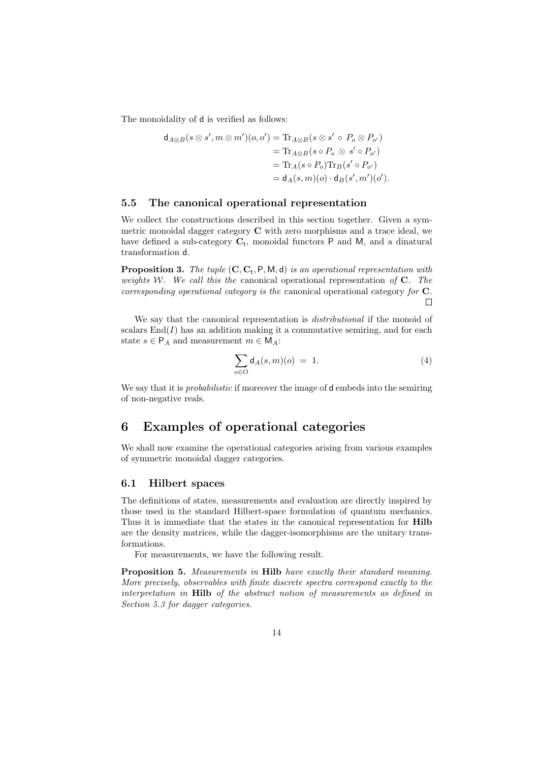The monoidality of  $d$  is verified as follows:

$$
d_{A\otimes B}(s\otimes s', m\otimes m')(o, o') = \text{Tr}_{A\otimes B}(s\otimes s' \circ P_o \otimes P_{o'})
$$
  
=  $\text{Tr}_{A\otimes B}(s\circ P_o \otimes s' \circ P_{o'})$   
=  $\text{Tr}_A(s\circ P_o)\text{Tr}_B(s'\circ P_{o'})$   
=  $d_A(s, m)(o) \cdot d_B(s', m')(o').$ 

### 5.5 The canonical operational representation

We collect the constructions described in this section together. Given a symmetric monoidal dagger category C with zero morphisms and a trace ideal, we have defined a sub-category  $C_t$ , monoidal functors  $P$  and  $M$ , and a dinatural transformation d.

**Proposition 3.** The tuple  $(C, C_t, P, M, d)$  is an operational representation with weights W. We call this the canonical operational representation of  $C$ . The corresponding operational category is the canonical operational category for C.  $\Box$ 

We say that the canonical representation is *distributional* if the monoid of scalars  $\text{End}(I)$  has an addition making it a commutative semiring, and for each state  $s \in P_A$  and measurement  $m \in M_A$ :

$$
\sum_{o \in O} \mathsf{d}_A(s, m)(o) = 1. \tag{4}
$$

We say that it is *probabilistic* if moreover the image of d embeds into the semiring of non-negative reals.

### 6 Examples of operational categories

We shall now examine the operational categories arising from various examples of symmetric monoidal dagger categories.

### 6.1 Hilbert spaces

The definitions of states, measurements and evaluation are directly inspired by those used in the standard Hilbert-space formulation of quantum mechanics. Thus it is immediate that the states in the canonical representation for Hilb are the density matrices, while the dagger-isomorphisms are the unitary transformations.

For measurements, we have the following result.

Proposition 5. Measurements in Hilb have exactly their standard meaning. More precisely, observables with finite discrete spectra correspond exactly to the interpretation in Hilb of the abstract notion of measurements as defined in Section 5.3 for dagger categories.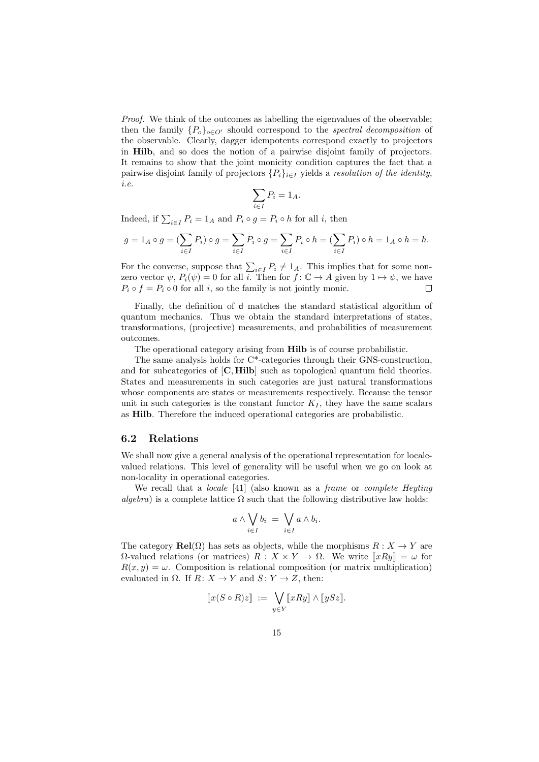Proof. We think of the outcomes as labelling the eigenvalues of the observable; then the family  $\{P_o\}_{o\in O'}$  should correspond to the spectral decomposition of the observable. Clearly, dagger idempotents correspond exactly to projectors in Hilb, and so does the notion of a pairwise disjoint family of projectors. It remains to show that the joint monicity condition captures the fact that a pairwise disjoint family of projectors  $\{P_i\}_{i\in I}$  yields a *resolution of the identity*, i.e.

$$
\sum_{i \in I} P_i = 1_A.
$$

Indeed, if  $\sum_{i \in I} P_i = 1_A$  and  $P_i \circ g = P_i \circ h$  for all *i*, then

$$
g=1_A\circ g=(\sum_{i\in I}P_i)\circ g=\sum_{i\in I}P_i\circ g=\sum_{i\in I}P_i\circ h=(\sum_{i\in I}P_i)\circ h=1_A\circ h=h.
$$

For the converse, suppose that  $\sum_{i\in I} P_i \neq 1_A$ . This implies that for some nonzero vector  $\psi$ ,  $P_i(\psi) = 0$  for all i. Then for  $f: \mathbb{C} \to A$  given by  $1 \mapsto \psi$ , we have  $P_i \circ f = P_i \circ 0$  for all *i*, so the family is not jointly monic.  $\Box$ 

Finally, the definition of d matches the standard statistical algorithm of quantum mechanics. Thus we obtain the standard interpretations of states, transformations, (projective) measurements, and probabilities of measurement outcomes.

The operational category arising from Hilb is of course probabilistic.

The same analysis holds for C\*-categories through their GNS-construction, and for subcategories of [C, Hilb] such as topological quantum field theories. States and measurements in such categories are just natural transformations whose components are states or measurements respectively. Because the tensor unit in such categories is the constant functor  $K_I$ , they have the same scalars as Hilb. Therefore the induced operational categories are probabilistic.

#### 6.2 Relations

We shall now give a general analysis of the operational representation for localevalued relations. This level of generality will be useful when we go on look at non-locality in operational categories.

We recall that a *locale* [41] (also known as a *frame* or *complete Heyting* algebra) is a complete lattice  $\Omega$  such that the following distributive law holds:

$$
a \wedge \bigvee_{i \in I} b_i = \bigvee_{i \in I} a \wedge b_i.
$$

The category  $\text{Rel}(\Omega)$  has sets as objects, while the morphisms  $R : X \to Y$  are  $Ω$ -valued relations (or matrices)  $R : X \times Y \to Ω$ . We write  $[[xRy]] = ω$  for  $R(x, y) = \omega$ . Composition is relational composition (or matrix multiplication) evaluated in  $\Omega$ . If  $R: X \to Y$  and  $S: Y \to Z$ , then:

$$
\llbracket x(S \circ R) z \rrbracket \ := \ \bigvee_{y \in Y} \llbracket xRy \rrbracket \wedge \llbracket ySz \rrbracket.
$$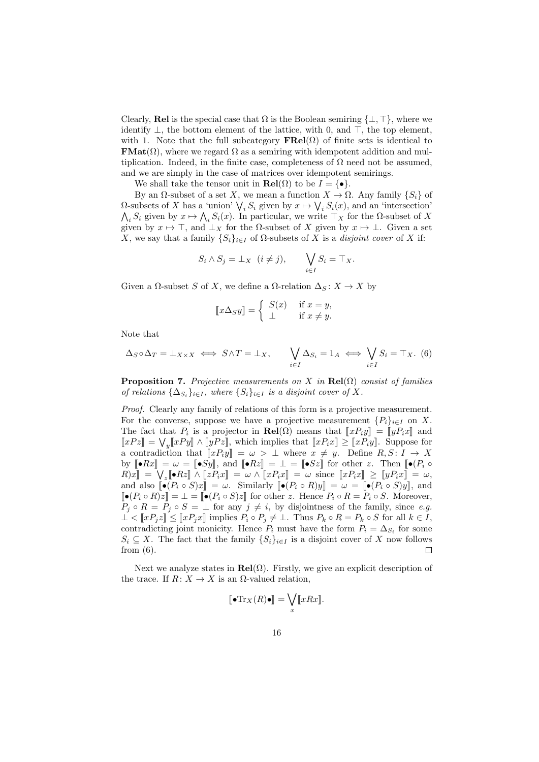Clearly, Rel is the special case that  $\Omega$  is the Boolean semiring  $\{\perp, \top\}$ , where we identify  $\perp$ , the bottom element of the lattice, with 0, and  $\top$ , the top element, with 1. Note that the full subcategory  $\textbf{FRel}(\Omega)$  of finite sets is identical to **FMat** $(\Omega)$ , where we regard  $\Omega$  as a semiring with idempotent addition and multiplication. Indeed, in the finite case, completeness of  $\Omega$  need not be assumed, and we are simply in the case of matrices over idempotent semirings.

We shall take the tensor unit in  $\text{Rel}(\Omega)$  to be  $I = \{ \bullet \}.$ 

By an  $\Omega$ -subset of a set X, we mean a function  $X \to \Omega$ . Any family  $\{S_i\}$  of  $\Omega$ -subsets of X has a 'union'  $\bigvee_i S_i$  given by  $x \mapsto \bigvee_i S_i(x)$ , and an 'intersection'  $\bigwedge_i S_i$  given by  $x \mapsto \bigwedge_i S_i(x)$ . In particular, we write  $\top_X$  for the  $\Omega$ -subset of X given by  $x \mapsto \top$ , and  $\bot_X$  for the  $\Omega$ -subset of X given by  $x \mapsto \bot$ . Given a set X, we say that a family  $\{S_i\}_{i\in I}$  of  $\Omega$ -subsets of X is a *disjoint cover* of X if:

$$
S_i \wedge S_j = \perp_X (i \neq j), \qquad \bigvee_{i \in I} S_i = \top_X.
$$

Given a  $\Omega$ -subset S of X, we define a  $\Omega$ -relation  $\Delta_S : X \to X$  by

$$
[\![x\Delta_S y]\!] = \begin{cases} S(x) & \text{if } x = y, \\ \bot & \text{if } x \neq y. \end{cases}
$$

Note that

$$
\Delta_S \circ \Delta_T = \perp_{X \times X} \iff S \wedge T = \perp_X, \qquad \bigvee_{i \in I} \Delta_{S_i} = 1_A \iff \bigvee_{i \in I} S_i = \top_X. \tag{6}
$$

**Proposition 7.** Projective measurements on X in  $\text{Rel}(\Omega)$  consist of families of relations  $\{\Delta_{S_i}\}_{i\in I}$ , where  $\{S_i\}_{i\in I}$  is a disjoint cover of X.

Proof. Clearly any family of relations of this form is a projective measurement. For the converse, suppose we have a projective measurement  $\{P_i\}_{i\in I}$  on X. The fact that  $P_i$  is a projector in  $\text{Rel}(\Omega)$  means that  $\llbracket x P_i y \rrbracket = \llbracket y P_i x \rrbracket$  and  $\llbracket x P_i x \rrbracket = \sqrt{[x P_i y]} \wedge \llbracket x P_i x \rrbracket$  and  $\llbracket x P_i x \rrbracket = \sqrt{[x P_i y]} \wedge \llbracket x P_i x \rrbracket$  $\llbracket xPz \rrbracket = \bigvee_y \llbracket xPy \rrbracket \wedge \llbracket yPz \rrbracket$ , which implies that  $\llbracket xP_ix \rrbracket \geq \llbracket xP_iy \rrbracket$ . Suppose for a contradiction that  $\llbracket x P_i y \rrbracket = \omega > \bot$  where  $x \neq y$ . Define  $R, S: I \to X$ by  $[\bullet Rx] = \omega = [\bullet Sy],$  and  $[\bullet Rz] = \bot = [\bullet Sz]$  for other z. Then  $[\bullet (P_i \circ$  $R[x] = \bigvee_{z} [\bullet Rz] \wedge [zP_ix] = \omega \wedge [xP_ix] = \omega$  since  $[xP_ix] \ge [yP_ix] = \omega$ ,<br>and also  $\mathbb{I}_{\bullet}(P_{\bullet} \circ S)x] = \omega$ , Similarly  $\mathbb{I}_{\bullet}(P_{\bullet} \circ P)x] = \omega - \mathbb{I}_{\bullet}(P_{\bullet} \circ S)x$ and also  $\llbracket \bullet (P_i \circ S)x \rrbracket = \omega$ . Similarly  $\llbracket \bullet (P_i \circ R)y \rrbracket = \omega = \llbracket \bullet (P_i \circ S)y \rrbracket$ , and  $\llbracket \bullet (P_i \circ R)z \rrbracket = \bot = \llbracket \bullet (P_i \circ S)z \rrbracket$  for other z. Hence  $P_i \circ R = P_i \circ S$ . Moreover,  $P_j \circ R = P_j \circ S = \perp$  for any  $j \neq i$ , by disjointness of the family, since e.g.  $\perp \! \leq \llbracket x P_j z \rrbracket \leq \llbracket x P_j x \rrbracket$  implies  $P_i \circ P_j \neq \perp$ . Thus  $P_k \circ R = P_k \circ S$  for all  $k \in I$ , contradicting joint monicity. Hence  $P_i$  must have the form  $P_i = \Delta_{S_i}$  for some  $S_i \subseteq X$ . The fact that the family  $\{S_i\}_{i\in I}$  is a disjoint cover of X now follows from (6).  $\Box$ 

Next we analyze states in  $\text{Rel}(\Omega)$ . Firstly, we give an explicit description of the trace. If  $R: X \to X$  is an  $\Omega$ -valued relation,

$$
[\![\bullet\mathrm{Tr}_X(R)\bullet]\!] = \bigvee_x [\![xRx]\!].
$$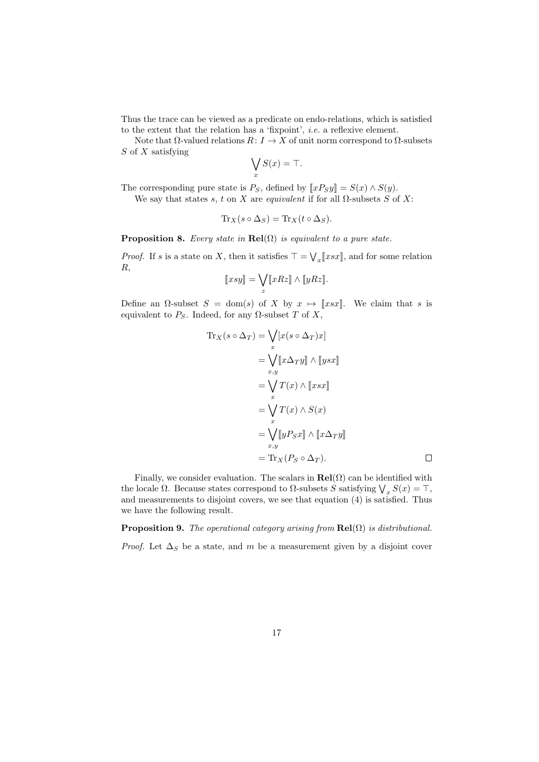Thus the trace can be viewed as a predicate on endo-relations, which is satisfied to the extent that the relation has a 'fixpoint', i.e. a reflexive element.

Note that  $\Omega$ -valued relations  $R: I \to X$  of unit norm correspond to  $\Omega$ -subsets  $S$  of  $X$  satisfying

$$
\bigvee_x S(x) = \top.
$$

The corresponding pure state is  $P_S$ , defined by  $\llbracket xP_Sy \rrbracket = S(x) \wedge S(y)$ .

We say that states s, t on X are equivalent if for all  $\Omega$ -subsets S of X:

$$
\mathrm{Tr}_X(s \circ \Delta_S) = \mathrm{Tr}_X(t \circ \Delta_S).
$$

**Proposition 8.** Every state in  $\text{Rel}(\Omega)$  is equivalent to a pure state.

*Proof.* If s is a state on X, then it satisfies  $\top = \bigvee_x [\![xsx]\!]$ , and for some relation R,

$$
[\![xsy]\!] = \bigvee_{z} [\![xRz]\!] \wedge [\![yRz]\!].
$$

Define an  $\Omega$ -subset  $S = \text{dom}(s)$  of X by  $x \mapsto \llbracket x s x \rrbracket$ . We claim that s is equivalent to  $P_S$ . Indeed, for any  $\Omega$ -subset T of X,

$$
\begin{aligned} \text{Tr}_X(s \circ \Delta_T) &= \bigvee_x [x(s \circ \Delta_T)x] \\ &= \bigvee_x [x \Delta_T y] \wedge [ysx] \\ &= \bigvee_{x,y} T(x) \wedge [xsx] \\ &= \bigvee_x T(x) \wedge S(x) \\ &= \bigvee_{x,y} [yP_Sx] \wedge [x \Delta_T y] \\ &= \text{Tr}_X (P_S \circ \Delta_T). \end{aligned}
$$

Finally, we consider evaluation. The scalars in  $\text{Rel}(\Omega)$  can be identified with the locale  $\Omega$ . Because states correspond to  $\Omega$ -subsets S satisfying  $\bigvee_x S(x) = \top$ , and measurements to disjoint covers, we see that equation (4) is satisfied. Thus we have the following result.

**Proposition 9.** The operational category arising from  $\text{Rel}(\Omega)$  is distributional.

*Proof.* Let  $\Delta_S$  be a state, and m be a measurement given by a disjoint cover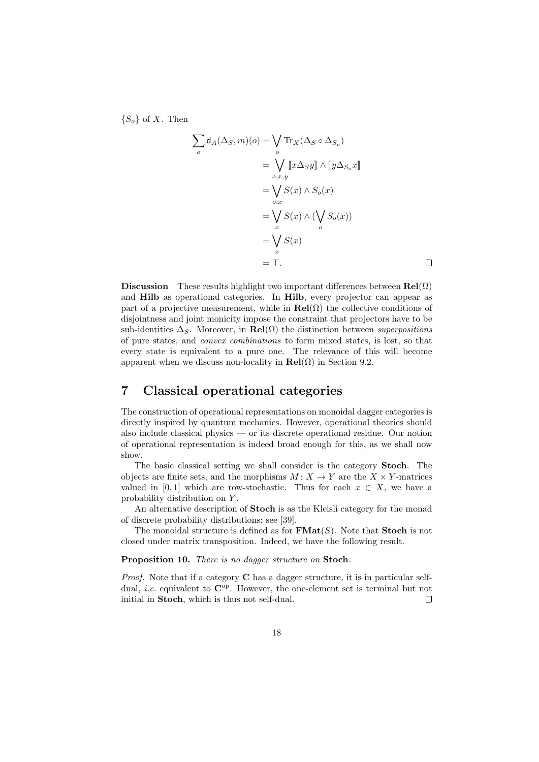${S_o}$  of X. Then

$$
\sum_{o} d_{A}(\Delta_{S}, m)(o) = \bigvee_{o} \text{Tr}_{X}(\Delta_{S} \circ \Delta_{S_{o}})
$$
  

$$
= \bigvee_{o, x, y} \llbracket x \Delta_{S} y \rrbracket \wedge \llbracket y \Delta_{S_{o}} x \rrbracket
$$
  

$$
= \bigvee_{o, x} S(x) \wedge S_{o}(x)
$$
  

$$
= \bigvee_{x} S(x) \wedge (\bigvee_{o} S_{o}(x))
$$
  

$$
= \bigvee_{x} S(x)
$$
  

$$
= \top.
$$

 $\Box$ 

Discussion These results highlight two important differences between  $\text{Rel}(\Omega)$ and Hilb as operational categories. In Hilb, every projector can appear as part of a projective measurement, while in  $\text{Rel}(\Omega)$  the collective conditions of disjointness and joint monicity impose the constraint that projectors have to be sub-identities  $\Delta_S$ . Moreover, in  $\text{Rel}(\Omega)$  the distinction between superpositions of pure states, and convex combinations to form mixed states, is lost, so that every state is equivalent to a pure one. The relevance of this will become apparent when we discuss non-locality in  $\text{Rel}(\Omega)$  in Section 9.2.

### 7 Classical operational categories

The construction of operational representations on monoidal dagger categories is directly inspired by quantum mechanics. However, operational theories should also include classical physics — or its discrete operational residue. Our notion of operational representation is indeed broad enough for this, as we shall now show.

The basic classical setting we shall consider is the category Stoch. The objects are finite sets, and the morphisms  $M: X \to Y$  are the  $X \times Y$ -matrices valued in [0, 1] which are row-stochastic. Thus for each  $x \in X$ , we have a probability distribution on Y .

An alternative description of Stoch is as the Kleisli category for the monad of discrete probability distributions; see [39].

The monoidal structure is defined as for  $\mathbf{FMat}(S)$ . Note that **Stoch** is not closed under matrix transposition. Indeed, we have the following result.

Proposition 10. There is no dagger structure on Stoch.

Proof. Note that if a category C has a dagger structure, it is in particular selfdual, *i.e.* equivalent to  $\mathbb{C}^{\text{op}}$ . However, the one-element set is terminal but not initial in Stoch, which is thus not self-dual.  $\Box$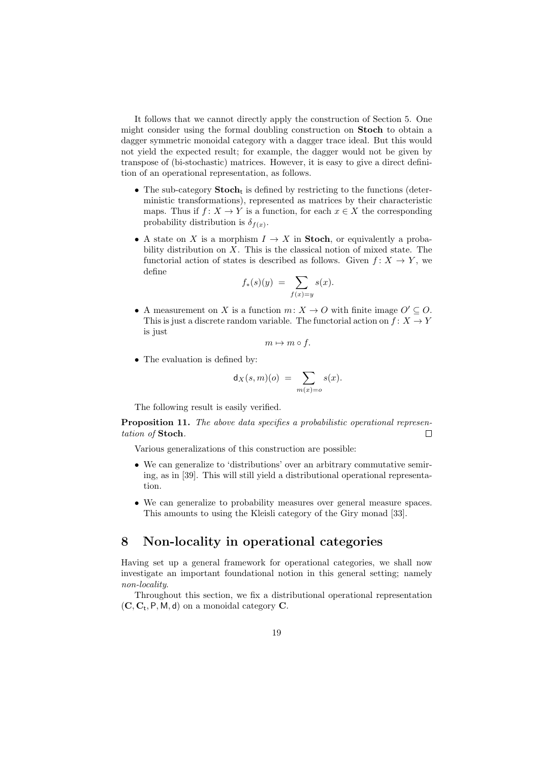It follows that we cannot directly apply the construction of Section 5. One might consider using the formal doubling construction on Stoch to obtain a dagger symmetric monoidal category with a dagger trace ideal. But this would not yield the expected result; for example, the dagger would not be given by transpose of (bi-stochastic) matrices. However, it is easy to give a direct definition of an operational representation, as follows.

- The sub-category  $Stoch_t$  is defined by restricting to the functions (deterministic transformations), represented as matrices by their characteristic maps. Thus if  $f: X \to Y$  is a function, for each  $x \in X$  the corresponding probability distribution is  $\delta_{f(x)}$ .
- A state on X is a morphism  $I \to X$  in Stoch, or equivalently a probability distribution on  $X$ . This is the classical notion of mixed state. The functorial action of states is described as follows. Given  $f: X \to Y$ , we define

$$
f_*(s)(y) = \sum_{f(x)=y} s(x).
$$

• A measurement on X is a function  $m: X \to O$  with finite image  $O' \subseteq O$ . This is just a discrete random variable. The functorial action on  $f: X \to Y$ is just

$$
m \mapsto m \circ f.
$$

• The evaluation is defined by:

$$
d_X(s,m)(o) = \sum_{m(x)=o} s(x).
$$

The following result is easily verified.

Proposition 11. The above data specifies a probabilistic operational representation of Stoch.  $\Box$ 

Various generalizations of this construction are possible:

- We can generalize to 'distributions' over an arbitrary commutative semiring, as in [39]. This will still yield a distributional operational representation.
- We can generalize to probability measures over general measure spaces. This amounts to using the Kleisli category of the Giry monad [33].

### 8 Non-locality in operational categories

Having set up a general framework for operational categories, we shall now investigate an important foundational notion in this general setting; namely non-locality.

Throughout this section, we fix a distributional operational representation  $(C, C_t, P, M, d)$  on a monoidal category C.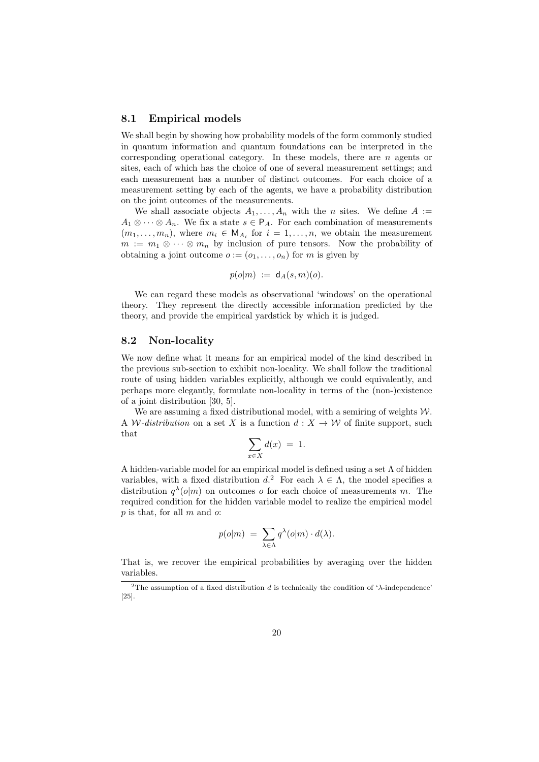### 8.1 Empirical models

We shall begin by showing how probability models of the form commonly studied in quantum information and quantum foundations can be interpreted in the corresponding operational category. In these models, there are  $n$  agents or sites, each of which has the choice of one of several measurement settings; and each measurement has a number of distinct outcomes. For each choice of a measurement setting by each of the agents, we have a probability distribution on the joint outcomes of the measurements.

We shall associate objects  $A_1, \ldots, A_n$  with the *n* sites. We define  $A :=$  $A_1 \otimes \cdots \otimes A_n$ . We fix a state  $s \in P_A$ . For each combination of measurements  $(m_1, \ldots, m_n)$ , where  $m_i \in M_{A_i}$  for  $i = 1, \ldots, n$ , we obtain the measurement  $m := m_1 \otimes \cdots \otimes m_n$  by inclusion of pure tensors. Now the probability of obtaining a joint outcome  $o := (o_1, \ldots, o_n)$  for m is given by

$$
p(o|m) := d_A(s,m)(o).
$$

We can regard these models as observational 'windows' on the operational theory. They represent the directly accessible information predicted by the theory, and provide the empirical yardstick by which it is judged.

### 8.2 Non-locality

We now define what it means for an empirical model of the kind described in the previous sub-section to exhibit non-locality. We shall follow the traditional route of using hidden variables explicitly, although we could equivalently, and perhaps more elegantly, formulate non-locality in terms of the (non-)existence of a joint distribution [30, 5].

We are assuming a fixed distributional model, with a semiring of weights  $W$ . A W-distribution on a set X is a function  $d: X \to W$  of finite support, such that

$$
\sum_{x \in X} d(x) = 1.
$$

A hidden-variable model for an empirical model is defined using a set  $\Lambda$  of hidden variables, with a fixed distribution  $d^2$ . For each  $\lambda \in \Lambda$ , the model specifies a distribution  $q^{\lambda}(o|m)$  on outcomes o for each choice of measurements m. The required condition for the hidden variable model to realize the empirical model  $p$  is that, for all  $m$  and  $o$ :

$$
p(o|m) = \sum_{\lambda \in \Lambda} q^{\lambda}(o|m) \cdot d(\lambda).
$$

That is, we recover the empirical probabilities by averaging over the hidden variables.

<sup>&</sup>lt;sup>2</sup>The assumption of a fixed distribution d is technically the condition of ' $\lambda$ -independence' [25].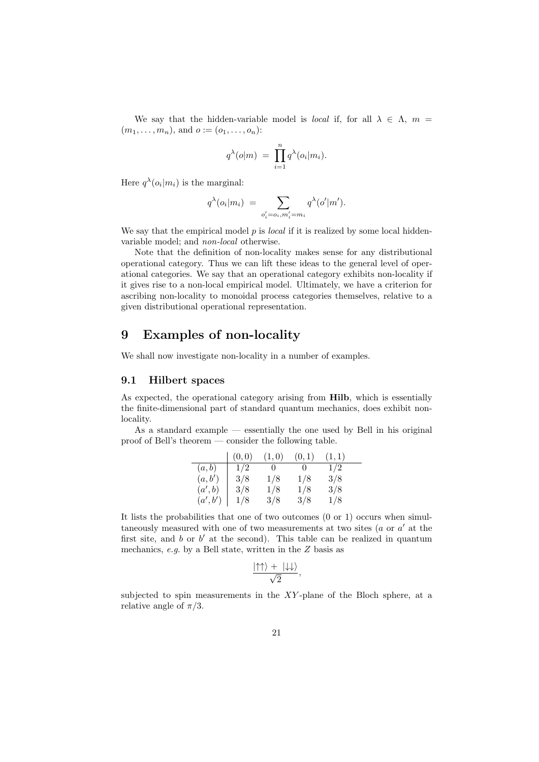We say that the hidden-variable model is *local* if, for all  $\lambda \in \Lambda$ ,  $m =$  $(m_1, \ldots, m_n)$ , and  $o := (o_1, \ldots, o_n)$ :

$$
q^{\lambda}(o|m) = \prod_{i=1}^{n} q^{\lambda}(o_i|m_i).
$$

Here  $q^{\lambda}(o_i|m_i)$  is the marginal:

$$
q^{\lambda}(o_i|m_i) = \sum_{o'_i = o_i, m'_i = m_i} q^{\lambda}(o'|m').
$$

We say that the empirical model  $p$  is *local* if it is realized by some local hiddenvariable model; and non-local otherwise.

Note that the definition of non-locality makes sense for any distributional operational category. Thus we can lift these ideas to the general level of operational categories. We say that an operational category exhibits non-locality if it gives rise to a non-local empirical model. Ultimately, we have a criterion for ascribing non-locality to monoidal process categories themselves, relative to a given distributional operational representation.

### 9 Examples of non-locality

We shall now investigate non-locality in a number of examples.

### 9.1 Hilbert spaces

As expected, the operational category arising from Hilb, which is essentially the finite-dimensional part of standard quantum mechanics, does exhibit nonlocality.

As a standard example — essentially the one used by Bell in his original proof of Bell's theorem — consider the following table.

|         | (0,0) | (1,0) | (0,1) | (1,1) |  |
|---------|-------|-------|-------|-------|--|
| (a,b)   | 1/2   | 0     | 0     | 1/2   |  |
| (a, b') | 3/8   | 1/8   | 1/8   | 3/8   |  |
| (a',b)  | 3/8   | 1/8   | 1/8   | 3/8   |  |
| (a',b') | 1/8   | 3/8   | 3/8   | 1/8   |  |

It lists the probabilities that one of two outcomes (0 or 1) occurs when simultaneously measured with one of two measurements at two sites  $(a \text{ or } a' \text{ at the})$ first site, and  $b$  or  $b'$  at the second). This table can be realized in quantum mechanics, e.g. by a Bell state, written in the Z basis as

$$
\frac{|\!\uparrow\uparrow\rangle + \ |\!\downarrow\downarrow\rangle}{\sqrt{2}},
$$

subjected to spin measurements in the XY -plane of the Bloch sphere, at a relative angle of  $\pi/3$ .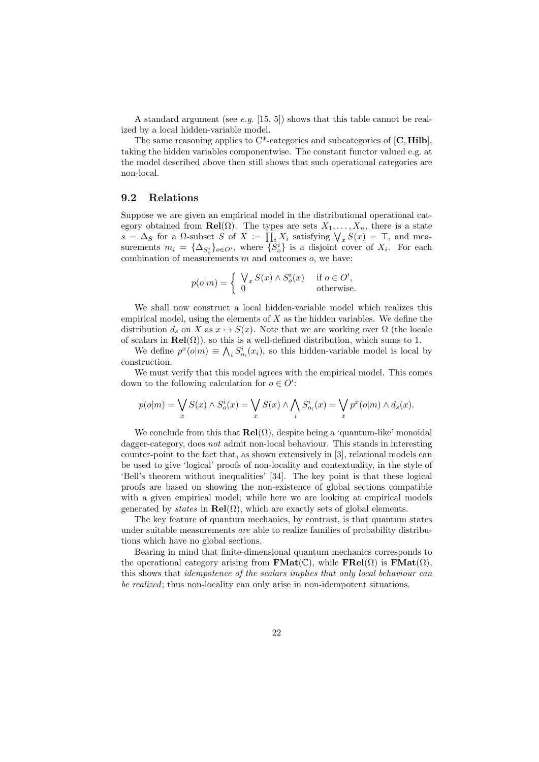A standard argument (see e.g. [15, 5]) shows that this table cannot be realized by a local hidden-variable model.

The same reasoning applies to  $C^*$ -categories and subcategories of  $[C, Hilb]$ . taking the hidden variables componentwise. The constant functor valued e.g. at the model described above then still shows that such operational categories are non-local.

### 9.2 Relations

Suppose we are given an empirical model in the distributional operational category obtained from  $\text{Rel}(\Omega)$ . The types are sets  $X_1, \ldots, X_n$ , there is a state  $s = \Delta_S$  for a  $\Omega$ -subset S of  $X := \prod_i X_i$  satisfying  $\bigvee_x S(x) = \top$ , and measurements  $m_i = {\Delta_{S_o^i}}_{o \in O'}$ , where  ${S_o^i}$  is a disjoint cover of  $X_i$ . For each combination of measurements  $m$  and outcomes  $o$ , we have:

$$
p(o|m) = \begin{cases} \bigvee_x S(x) \wedge S_o^i(x) & \text{if } o \in O', \\ 0 & \text{otherwise.} \end{cases}
$$

We shall now construct a local hidden-variable model which realizes this empirical model, using the elements of  $X$  as the hidden variables. We define the distribution  $d_s$  on X as  $x \mapsto S(x)$ . Note that we are working over  $\Omega$  (the locale of scalars in  $\text{Rel}(\Omega)$ , so this is a well-defined distribution, which sums to 1.

We define  $p^x(o|m) \equiv \bigwedge_i S^i_{o_i}(x_i)$ , so this hidden-variable model is local by construction.

We must verify that this model agrees with the empirical model. This comes down to the following calculation for  $o \in O'$ :

$$
p(o|m) = \bigvee_x S(x) \land S_o^i(x) = \bigvee_x S(x) \land \bigwedge_i S_{o_i}^i(x) = \bigvee_x p^x(o|m) \land d_s(x).
$$

We conclude from this that  $\text{Rel}(\Omega)$ , despite being a 'quantum-like' monoidal dagger-category, does not admit non-local behaviour. This stands in interesting counter-point to the fact that, as shown extensively in [3], relational models can be used to give 'logical' proofs of non-locality and contextuality, in the style of 'Bell's theorem without inequalities' [34]. The key point is that these logical proofs are based on showing the non-existence of global sections compatible with a given empirical model; while here we are looking at empirical models generated by *states* in  $\text{Rel}(\Omega)$ , which are exactly sets of global elements.

The key feature of quantum mechanics, by contrast, is that quantum states under suitable measurements are able to realize families of probability distributions which have no global sections.

Bearing in mind that finite-dimensional quantum mechanics corresponds to the operational category arising from  $\textbf{FMat}(\mathbb{C})$ , while  $\textbf{FRel}(\Omega)$  is  $\textbf{FMat}(\Omega)$ , this shows that idempotence of the scalars implies that only local behaviour can be realized; thus non-locality can only arise in non-idempotent situations.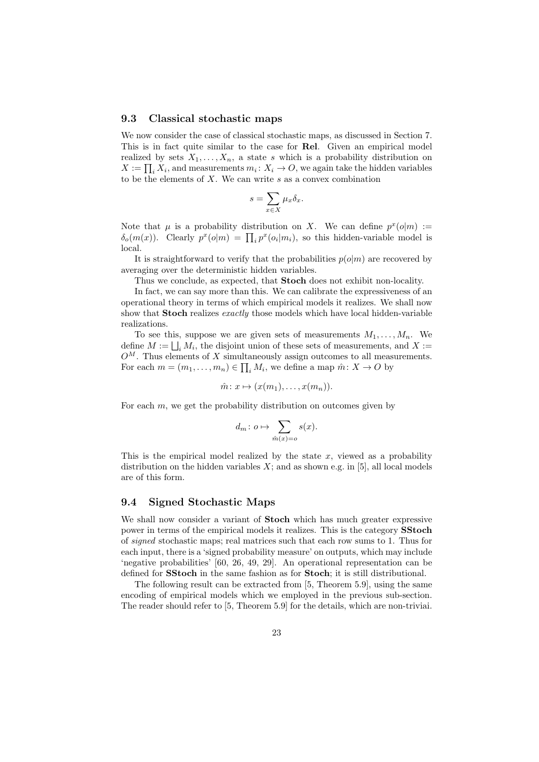#### 9.3 Classical stochastic maps

We now consider the case of classical stochastic maps, as discussed in Section 7. This is in fact quite similar to the case for Rel. Given an empirical model realized by sets  $X_1, \ldots, X_n$ , a state s which is a probability distribution on  $X := \prod_i X_i$ , and measurements  $m_i: X_i \to O$ , we again take the hidden variables to be the elements of  $X$ . We can write  $s$  as a convex combination

$$
s = \sum_{x \in X} \mu_x \delta_x.
$$

Note that  $\mu$  is a probability distribution on X. We can define  $p^x(o|m) :=$  $\delta_o(m(x))$ . Clearly  $p^x(o|m) = \prod_i p^x(o_i|m_i)$ , so this hidden-variable model is local.

It is straightforward to verify that the probabilities  $p(o|m)$  are recovered by averaging over the deterministic hidden variables.

Thus we conclude, as expected, that Stoch does not exhibit non-locality.

In fact, we can say more than this. We can calibrate the expressiveness of an operational theory in terms of which empirical models it realizes. We shall now show that Stoch realizes exactly those models which have local hidden-variable realizations.

To see this, suppose we are given sets of measurements  $M_1, \ldots, M_n$ . We define  $M := \bigsqcup_i M_i$ , the disjoint union of these sets of measurements, and X :=  $O^M$ . Thus elements of X simultaneously assign outcomes to all measurements. For each  $m = (m_1, \ldots, m_n) \in \prod_i M_i$ , we define a map  $\hat{m}: X \to O$  by

$$
\hat{m} \colon x \mapsto (x(m_1), \dots, x(m_n)).
$$

For each  $m$ , we get the probability distribution on outcomes given by

$$
d_m \colon o \mapsto \sum_{\hat{m}(x)=o} s(x).
$$

This is the empirical model realized by the state  $x$ , viewed as a probability distribution on the hidden variables  $X$ ; and as shown e.g. in [5], all local models are of this form.

### 9.4 Signed Stochastic Maps

We shall now consider a variant of **Stoch** which has much greater expressive power in terms of the empirical models it realizes. This is the category SStoch of signed stochastic maps; real matrices such that each row sums to 1. Thus for each input, there is a 'signed probability measure' on outputs, which may include 'negative probabilities' [60, 26, 49, 29]. An operational representation can be defined for SStoch in the same fashion as for Stoch; it is still distributional.

The following result can be extracted from [5, Theorem 5.9], using the same encoding of empirical models which we employed in the previous sub-section. The reader should refer to [5, Theorem 5.9] for the details, which are non-triviai.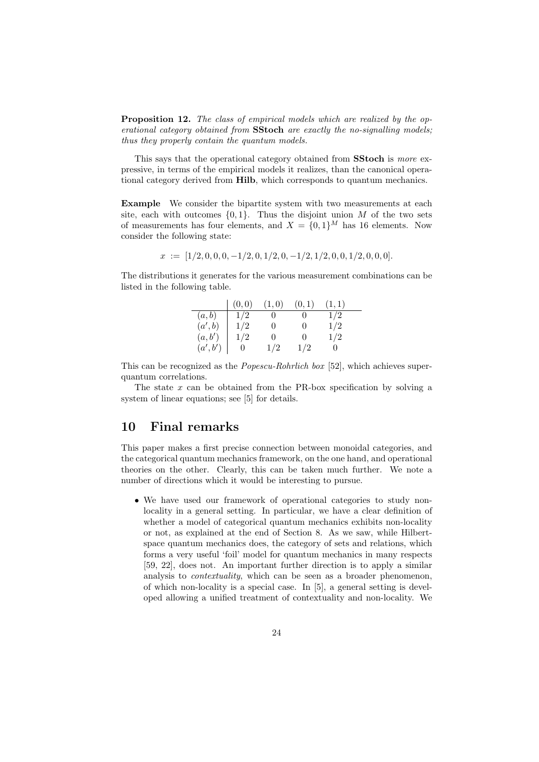Proposition 12. The class of empirical models which are realized by the operational category obtained from **SStoch** are exactly the no-signalling models; thus they properly contain the quantum models.

This says that the operational category obtained from **SStoch** is more expressive, in terms of the empirical models it realizes, than the canonical operational category derived from Hilb, which corresponds to quantum mechanics.

Example We consider the bipartite system with two measurements at each site, each with outcomes  $\{0, 1\}$ . Thus the disjoint union M of the two sets of measurements has four elements, and  $X = \{0,1\}^M$  has 16 elements. Now consider the following state:

$$
x := [1/2, 0, 0, 0, -1/2, 0, 1/2, 0, -1/2, 1/2, 0, 0, 1/2, 0, 0, 0].
$$

The distributions it generates for the various measurement combinations can be listed in the following table.

|         | (0,0) | (1,0)    | (0,1)        | (1,1) |
|---------|-------|----------|--------------|-------|
| (a,b)   | 1/2   |          |              | 1/2   |
| (a',b)  | 1/2   | O        | $\mathbf{0}$ | 1/2   |
| (a, b') | 1/2   | $^{(1)}$ | $^{\circ}$   | 1/2   |
| (a',b') |       | 1/2      | 1/2          |       |

This can be recognized as the Popescu-Rohrlich box [52], which achieves superquantum correlations.

The state  $x$  can be obtained from the PR-box specification by solving a system of linear equations; see [5] for details.

### 10 Final remarks

This paper makes a first precise connection between monoidal categories, and the categorical quantum mechanics framework, on the one hand, and operational theories on the other. Clearly, this can be taken much further. We note a number of directions which it would be interesting to pursue.

• We have used our framework of operational categories to study nonlocality in a general setting. In particular, we have a clear definition of whether a model of categorical quantum mechanics exhibits non-locality or not, as explained at the end of Section 8. As we saw, while Hilbertspace quantum mechanics does, the category of sets and relations, which forms a very useful 'foil' model for quantum mechanics in many respects [59, 22], does not. An important further direction is to apply a similar analysis to *contextuality*, which can be seen as a broader phenomenon, of which non-locality is a special case. In [5], a general setting is developed allowing a unified treatment of contextuality and non-locality. We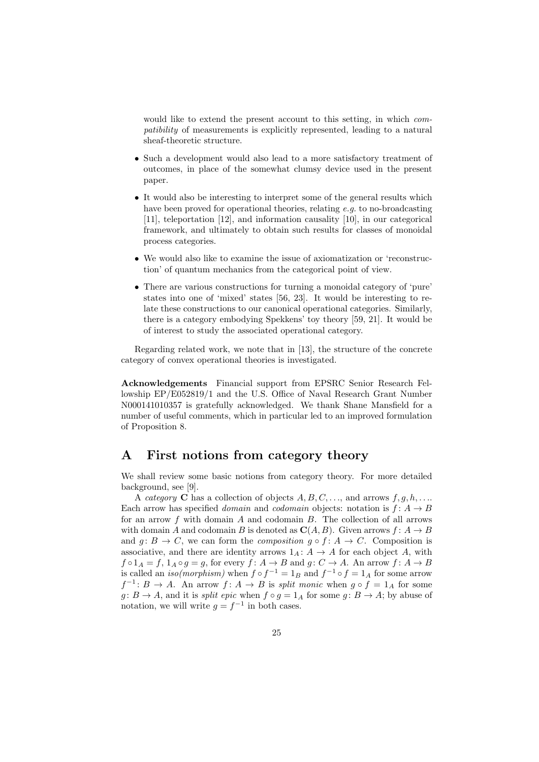would like to extend the present account to this setting, in which *com*patibility of measurements is explicitly represented, leading to a natural sheaf-theoretic structure.

- Such a development would also lead to a more satisfactory treatment of outcomes, in place of the somewhat clumsy device used in the present paper.
- It would also be interesting to interpret some of the general results which have been proved for operational theories, relating e.g. to no-broadcasting [11], teleportation [12], and information causality [10], in our categorical framework, and ultimately to obtain such results for classes of monoidal process categories.
- We would also like to examine the issue of axiomatization or 'reconstruction' of quantum mechanics from the categorical point of view.
- There are various constructions for turning a monoidal category of 'pure' states into one of 'mixed' states [56, 23]. It would be interesting to relate these constructions to our canonical operational categories. Similarly, there is a category embodying Spekkens' toy theory [59, 21]. It would be of interest to study the associated operational category.

Regarding related work, we note that in [13], the structure of the concrete category of convex operational theories is investigated.

Acknowledgements Financial support from EPSRC Senior Research Fellowship EP/E052819/1 and the U.S. Office of Naval Research Grant Number N000141010357 is gratefully acknowledged. We thank Shane Mansfield for a number of useful comments, which in particular led to an improved formulation of Proposition 8.

### A First notions from category theory

We shall review some basic notions from category theory. For more detailed background, see [9].

A category C has a collection of objects  $A, B, C, \ldots$ , and arrows  $f, g, h, \ldots$ Each arrow has specified *domain* and *codomain* objects: notation is  $f: A \rightarrow B$ for an arrow  $f$  with domain  $A$  and codomain  $B$ . The collection of all arrows with domain A and codomain B is denoted as  $\mathbf{C}(A, B)$ . Given arrows  $f: A \to B$ and  $g: B \to C$ , we can form the *composition*  $g \circ f: A \to C$ . Composition is associative, and there are identity arrows  $1_A: A \rightarrow A$  for each object A, with  $f \circ 1_A = f$ ,  $1_A \circ g = g$ , for every  $f : A \to B$  and  $g : C \to A$ . An arrow  $f : A \to B$ is called an *iso(morphism)* when  $f \circ f^{-1} = 1_B$  and  $f^{-1} \circ f = 1_A$  for some arrow  $f^{-1}: B \to A$ . An arrow  $f: A \to B$  is *split monic* when  $g \circ f = 1_A$  for some  $g: B \to A$ , and it is *split epic* when  $f \circ g = 1_A$  for some  $g: B \to A$ ; by abuse of notation, we will write  $g = f^{-1}$  in both cases.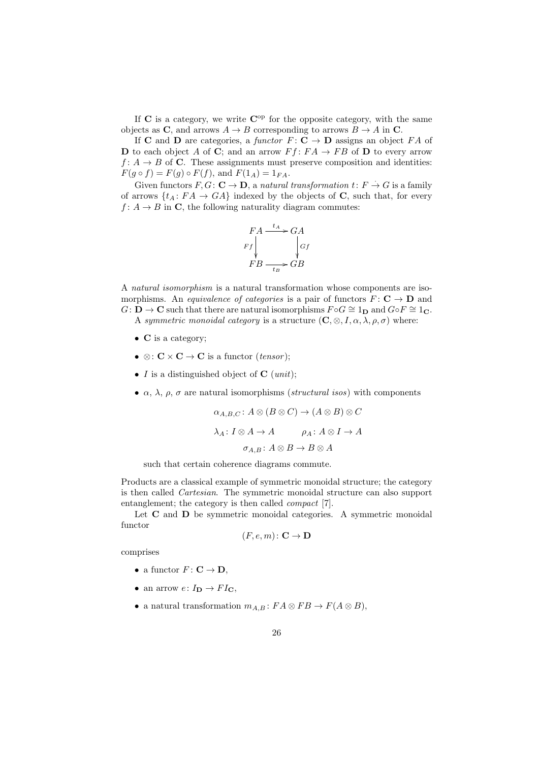If  $C$  is a category, we write  $C^{op}$  for the opposite category, with the same objects as C, and arrows  $A \to B$  corresponding to arrows  $B \to A$  in C.

If **C** and **D** are categories, a functor  $F: \mathbf{C} \to \mathbf{D}$  assigns an object  $FA$  of **D** to each object A of **C**; and an arrow  $Ff: FA \rightarrow FB$  of **D** to every arrow  $f: A \to B$  of C. These assignments must preserve composition and identities:  $F(g \circ f) = F(g) \circ F(f)$ , and  $F(1_A) = 1_{FA}$ .

Given functors  $F, G: \mathbf{C} \to \mathbf{D}$ , a natural transformation  $t: F \to G$  is a family of arrows  $\{t_A: FA \to GA\}$  indexed by the objects of C, such that, for every  $f: A \to B$  in C, the following naturality diagram commutes:

$$
FA \xrightarrow{t_A} GA
$$
  
\n
$$
Ff \downarrow \qquad \qquad Gf
$$
  
\n
$$
FB \xrightarrow[t_B]{t_A} GB
$$

A natural isomorphism is a natural transformation whose components are isomorphisms. An *equivalence of categories* is a pair of functors  $F: \mathbf{C} \to \mathbf{D}$  and  $G: \mathbf{D} \to \mathbf{C}$  such that there are natural isomorphisms  $F \circ G \cong 1_{\mathbf{D}}$  and  $G \circ F \cong 1_{\mathbf{C}}$ . A symmetric monoidal category is a structure  $(C, \otimes, I, \alpha, \lambda, \rho, \sigma)$  where:

- C is a category;
- $\otimes : \mathbf{C} \times \mathbf{C} \to \mathbf{C}$  is a functor *(tensor)*;
- I is a distinguished object of  $C$  (unit);
- $\alpha$ ,  $\lambda$ ,  $\rho$ ,  $\sigma$  are natural isomorphisms (*structural isos*) with components

$$
\alpha_{A,B,C} \colon A \otimes (B \otimes C) \to (A \otimes B) \otimes C
$$
  

$$
\lambda_A \colon I \otimes A \to A \qquad \rho_A \colon A \otimes I \to A
$$
  

$$
\sigma_{A,B} \colon A \otimes B \to B \otimes A
$$

such that certain coherence diagrams commute.

Products are a classical example of symmetric monoidal structure; the category is then called Cartesian. The symmetric monoidal structure can also support entanglement; the category is then called compact [7].

Let  $C$  and  $D$  be symmetric monoidal categories. A symmetric monoidal functor

$$
(F, e, m) \colon \mathbf{C} \to \mathbf{D}
$$

comprises

- a functor  $F: \mathbf{C} \to \mathbf{D}$ .
- an arrow  $e: I_{D} \to FI_{C}$ ,
- a natural transformation  $m_{A,B} : FA \otimes FB \to F(A \otimes B),$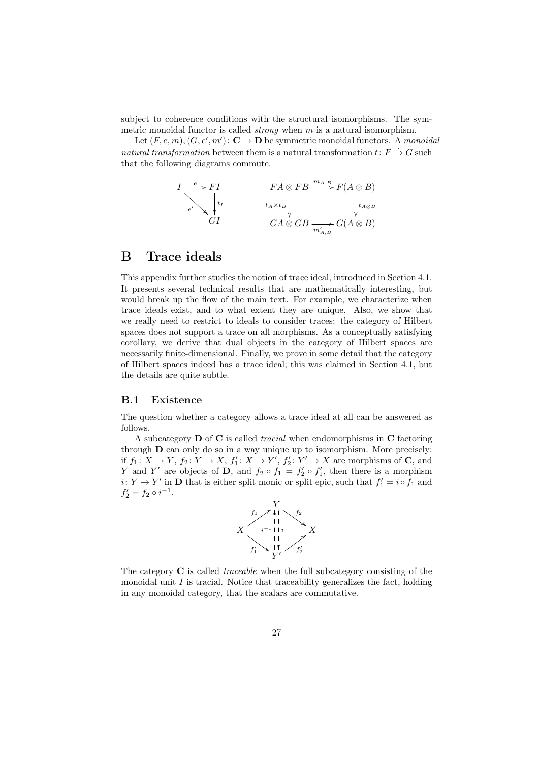subject to coherence conditions with the structural isomorphisms. The symmetric monoidal functor is called *strong* when  $m$  is a natural isomorphism.

Let  $(F, e, m), (G, e', m') : \mathbf{C} \to \mathbf{D}$  be symmetric monoidal functors. A monoidal natural transformation between them is a natural transformation  $t: F \to G$  such that the following diagrams commute.

$$
I \xrightarrow{e} FI
$$
  
\n
$$
I \xrightarrow{f} I
$$
  
\n
$$
H \otimes FB \xrightarrow{m_{A,B}} F(A \otimes B)
$$
  
\n
$$
t_A \times t_B
$$
  
\n
$$
G A \otimes GB \xrightarrow{m'_{A,B}} G(A \otimes B)
$$

### B Trace ideals

This appendix further studies the notion of trace ideal, introduced in Section 4.1. It presents several technical results that are mathematically interesting, but would break up the flow of the main text. For example, we characterize when trace ideals exist, and to what extent they are unique. Also, we show that we really need to restrict to ideals to consider traces: the category of Hilbert spaces does not support a trace on all morphisms. As a conceptually satisfying corollary, we derive that dual objects in the category of Hilbert spaces are necessarily finite-dimensional. Finally, we prove in some detail that the category of Hilbert spaces indeed has a trace ideal; this was claimed in Section 4.1, but the details are quite subtle.

### B.1 Existence

The question whether a category allows a trace ideal at all can be answered as follows.

A subcategory  $\bf{D}$  of  $\bf{C}$  is called *tracial* when endomorphisms in  $\bf{C}$  factoring through D can only do so in a way unique up to isomorphism. More precisely: if  $f_1: X \to Y$ ,  $f_2: Y \to X$ ,  $f'_1: X \to Y'$ ,  $f'_2: Y' \to X$  are morphisms of **C**, and Y and Y' are objects of D, and  $f_2 \circ f_1 = f'_2 \circ f'_1$ , then there is a morphism  $i: Y \to Y'$  in **D** that is either split monic or split epic, such that  $f'_1 = i \circ f_1$  and  $f'_2 = f_2 \circ i^{-1}.$ 



The category C is called traceable when the full subcategory consisting of the monoidal unit  $I$  is tracial. Notice that traceability generalizes the fact, holding in any monoidal category, that the scalars are commutative.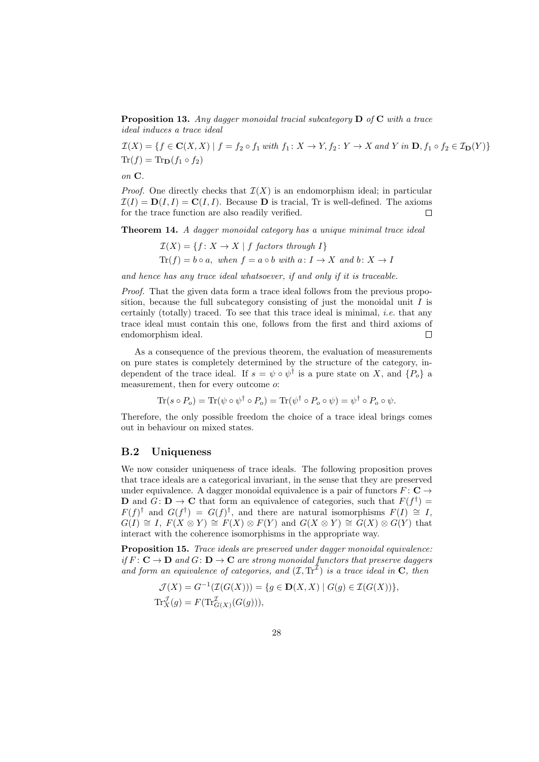**Proposition 13.** Any dagger monoidal tracial subcategory  $\bf{D}$  of  $\bf{C}$  with a trace ideal induces a trace ideal

 $\mathcal{I}(X) = \{f \in \mathbf{C}(X,X) \mid f = f_2 \circ f_1 \text{ with } f_1 \colon X \to Y, f_2 \colon Y \to X \text{ and } Y \text{ in } \mathbf{D}, f_1 \circ f_2 \in \mathcal{I}_{\mathbf{D}}(Y) \}$  $\text{Tr}(f) = \text{Tr}_{\mathbf{D}}(f_1 \circ f_2)$ 

on C.

*Proof.* One directly checks that  $\mathcal{I}(X)$  is an endomorphism ideal; in particular  $\mathcal{I}(I) = \mathbf{D}(I, I) = \mathbf{C}(I, I)$ . Because **D** is tracial, Tr is well-defined. The axioms for the trace function are also readily verified.  $\Box$ 

Theorem 14. A dagger monoidal category has a unique minimal trace ideal

$$
\mathcal{I}(X) = \{ f \colon X \to X \mid f \text{ factors through } I \}
$$
  
Tr(f) = b \circ a, when  $f = a \circ b$  with  $a \colon I \to X$  and  $b \colon X \to I$ 

and hence has any trace ideal whatsoever, if and only if it is traceable.

Proof. That the given data form a trace ideal follows from the previous proposition, because the full subcategory consisting of just the monoidal unit  $I$  is certainly (totally) traced. To see that this trace ideal is minimal, i.e. that any trace ideal must contain this one, follows from the first and third axioms of endomorphism ideal.  $\Box$ 

As a consequence of the previous theorem, the evaluation of measurements on pure states is completely determined by the structure of the category, independent of the trace ideal. If  $s = \psi \circ \psi^{\dagger}$  is a pure state on X, and  $\{P_o\}$  a measurement, then for every outcome o:

$$
\text{Tr}(s \circ P_o) = \text{Tr}(\psi \circ \psi^{\dagger} \circ P_o) = \text{Tr}(\psi^{\dagger} \circ P_o \circ \psi) = \psi^{\dagger} \circ P_o \circ \psi.
$$

Therefore, the only possible freedom the choice of a trace ideal brings comes out in behaviour on mixed states.

### B.2 Uniqueness

We now consider uniqueness of trace ideals. The following proposition proves that trace ideals are a categorical invariant, in the sense that they are preserved under equivalence. A dagger monoidal equivalence is a pair of functors  $F: \mathbf{C} \to$ **D** and  $G: \mathbf{D} \to \mathbf{C}$  that form an equivalence of categories, such that  $F(f^{\dagger}) =$  $F(f)$ <sup>†</sup> and  $G(f^{\dagger}) = G(f)^{\dagger}$ , and there are natural isomorphisms  $F(I) \cong I$ ,  $G(I) \cong I$ ,  $F(X \otimes Y) \cong F(X) \otimes F(Y)$  and  $G(X \otimes Y) \cong G(X) \otimes G(Y)$  that interact with the coherence isomorphisms in the appropriate way.

Proposition 15. Trace ideals are preserved under dagger monoidal equivalence: if  $F: \mathbf{C} \to \mathbf{D}$  and  $G: \mathbf{D} \to \mathbf{C}$  are strong monoidal functors that preserve daggers and form an equivalence of categories, and  $(\mathcal{I}, \text{Tr}^{\mathcal{I}})$  is a trace ideal in C, then

$$
\mathcal{J}(X) = G^{-1}(\mathcal{I}(G(X))) = \{ g \in \mathbf{D}(X,X) \mid G(g) \in \mathcal{I}(G(X)) \},
$$
  
\n
$$
\operatorname{Tr}_{X}^{\mathcal{I}}(g) = F(\operatorname{Tr}_{G(X)}^{\mathcal{I}}(G(g))),
$$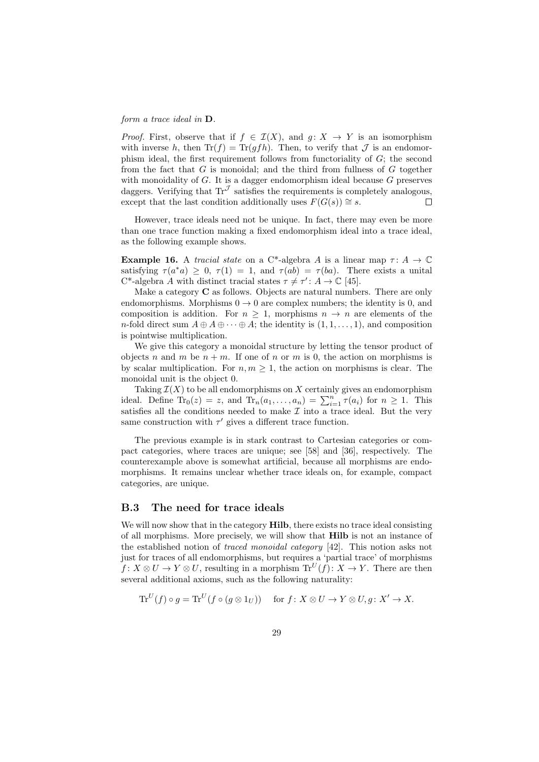form a trace ideal in D.

*Proof.* First, observe that if  $f \in \mathcal{I}(X)$ , and  $q: X \to Y$  is an isomorphism with inverse h, then  $\text{Tr}(f) = \text{Tr}(gfh)$ . Then, to verify that  $\mathcal J$  is an endomorphism ideal, the first requirement follows from functoriality of G; the second from the fact that  $G$  is monoidal; and the third from fullness of  $G$  together with monoidality of  $G$ . It is a dagger endomorphism ideal because  $G$  preserves daggers. Verifying that  $\text{Tr}^{\mathcal{J}}$  satisfies the requirements is completely analogous, except that the last condition additionally uses  $F(G(s)) \cong s$ .  $\Box$ 

However, trace ideals need not be unique. In fact, there may even be more than one trace function making a fixed endomorphism ideal into a trace ideal, as the following example shows.

**Example 16.** A tracial state on a C<sup>\*</sup>-algebra A is a linear map  $\tau: A \to \mathbb{C}$ satisfying  $\tau(a^*a) \geq 0$ ,  $\tau(1) = 1$ , and  $\tau(ab) = \tau(ba)$ . There exists a unital  $C^*$ -algebra A with distinct tracial states  $\tau \neq \tau' : A \to \mathbb{C}$  [45].

Make a category  $C$  as follows. Objects are natural numbers. There are only endomorphisms. Morphisms  $0 \to 0$  are complex numbers; the identity is 0, and composition is addition. For  $n \geq 1$ , morphisms  $n \to n$  are elements of the n-fold direct sum  $A \oplus A \oplus \cdots \oplus A$ ; the identity is  $(1, 1, \ldots, 1)$ , and composition is pointwise multiplication.

We give this category a monoidal structure by letting the tensor product of objects n and m be  $n + m$ . If one of n or m is 0, the action on morphisms is by scalar multiplication. For  $n, m \geq 1$ , the action on morphisms is clear. The monoidal unit is the object 0.

Taking  $\mathcal{I}(X)$  to be all endomorphisms on X certainly gives an endomorphism ideal. Define  $Tr_0(z) = z$ , and  $Tr_n(a_1, \ldots, a_n) = \sum_{i=1}^n \tau(a_i)$  for  $n \geq 1$ . This satisfies all the conditions needed to make  $\mathcal I$  into a trace ideal. But the very same construction with  $\tau'$  gives a different trace function.

The previous example is in stark contrast to Cartesian categories or compact categories, where traces are unique; see [58] and [36], respectively. The counterexample above is somewhat artificial, because all morphisms are endomorphisms. It remains unclear whether trace ideals on, for example, compact categories, are unique.

### B.3 The need for trace ideals

We will now show that in the category **Hilb**, there exists no trace ideal consisting of all morphisms. More precisely, we will show that Hilb is not an instance of the established notion of traced monoidal category [42]. This notion asks not just for traces of all endomorphisms, but requires a 'partial trace' of morphisms  $f: X \otimes U \to Y \otimes U$ , resulting in a morphism  $\text{Tr}^{U}(f): X \to Y$ . There are then several additional axioms, such as the following naturality:

$$
\mathrm{Tr}^U(f) \circ g = \mathrm{Tr}^U(f \circ (g \otimes 1_U)) \quad \text{ for } f \colon X \otimes U \to Y \otimes U, g \colon X' \to X.
$$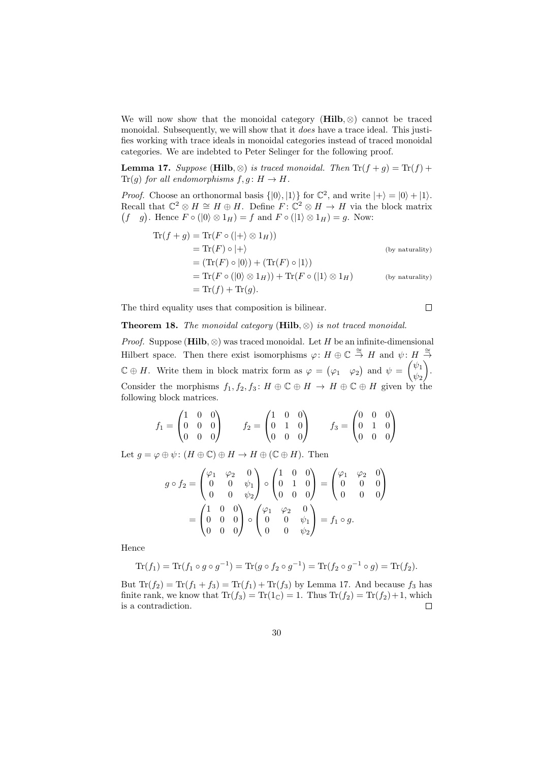We will now show that the monoidal category (Hilb,  $\otimes$ ) cannot be traced monoidal. Subsequently, we will show that it *does* have a trace ideal. This justifies working with trace ideals in monoidal categories instead of traced monoidal categories. We are indebted to Peter Selinger for the following proof.

**Lemma 17.** Suppose (Hilb, ⊗) is traced monoidal. Then  $\text{Tr}(f + g) = \text{Tr}(f) + g$  $Tr(g)$  for all endomorphisms  $f, g: H \to H$ .

*Proof.* Choose an orthonormal basis  $\{|0\rangle, |1\rangle\}$  for  $\mathbb{C}^2$ , and write  $|+\rangle = |0\rangle + |1\rangle$ . Recall that  $\mathbb{C}^2 \otimes H \cong H \oplus H$ . Define  $F: \mathbb{C}^2 \otimes H \to H$  via the block matrix  $(f \circ g)$ . Hence  $F \circ (0) \otimes 1_H = f$  and  $F \circ (1) \otimes 1_H = g$ . Now:

$$
\begin{aligned}\n\operatorname{Tr}(f+g) &= \operatorname{Tr}(F \circ (|+\rangle \otimes 1_H)) \\
&= \operatorname{Tr}(F) \circ |+\rangle \\
&= (\operatorname{Tr}(F) \circ |0\rangle) + (\operatorname{Tr}(F) \circ |1\rangle) \\
&= \operatorname{Tr}(F \circ (|0\rangle \otimes 1_H)) + \operatorname{Tr}(F \circ (|1\rangle \otimes 1_H) \qquad \text{(by naturally)} \\
&= \operatorname{Tr}(f) + \operatorname{Tr}(g).\n\end{aligned}
$$

The third equality uses that composition is bilinear.

$$
\Box
$$

### Theorem 18. The monoidal category (Hilb,  $\otimes$ ) is not traced monoidal.

*Proof.* Suppose (Hilb, ⊗) was traced monoidal. Let H be an infinite-dimensional Hilbert space. Then there exist isomorphisms  $\varphi: H \oplus \mathbb{C} \stackrel{\cong}{\to} H$  and  $\psi: H \stackrel{\cong}{\to}$  $\mathbb{C} \oplus H$ . Write them in block matrix form as  $\varphi = (\varphi_1 \varphi_2)$  and  $\psi = \begin{pmatrix} \psi_1 \\ \psi_2 \end{pmatrix}$  $\psi_2$  . Consider the morphisms  $f_1, f_2, f_3 : H \oplus \mathbb{C} \oplus H \to H \oplus \mathbb{C} \oplus H$  given by the following block matrices.

$$
f_1 = \begin{pmatrix} 1 & 0 & 0 \\ 0 & 0 & 0 \\ 0 & 0 & 0 \end{pmatrix} \qquad f_2 = \begin{pmatrix} 1 & 0 & 0 \\ 0 & 1 & 0 \\ 0 & 0 & 0 \end{pmatrix} \qquad f_3 = \begin{pmatrix} 0 & 0 & 0 \\ 0 & 1 & 0 \\ 0 & 0 & 0 \end{pmatrix}
$$

Let  $g = \varphi \oplus \psi : (H \oplus \mathbb{C}) \oplus H \to H \oplus (\mathbb{C} \oplus H)$ . Then

$$
g \circ f_2 = \begin{pmatrix} \varphi_1 & \varphi_2 & 0 \\ 0 & 0 & \psi_1 \\ 0 & 0 & \psi_2 \end{pmatrix} \circ \begin{pmatrix} 1 & 0 & 0 \\ 0 & 1 & 0 \\ 0 & 0 & 0 \end{pmatrix} = \begin{pmatrix} \varphi_1 & \varphi_2 & 0 \\ 0 & 0 & 0 \\ 0 & 0 & 0 \end{pmatrix}
$$

$$
= \begin{pmatrix} 1 & 0 & 0 \\ 0 & 0 & 0 \\ 0 & 0 & 0 \end{pmatrix} \circ \begin{pmatrix} \varphi_1 & \varphi_2 & 0 \\ 0 & 0 & \psi_1 \\ 0 & 0 & \psi_2 \end{pmatrix} = f_1 \circ g.
$$

Hence

$$
\text{Tr}(f_1) = \text{Tr}(f_1 \circ g \circ g^{-1}) = \text{Tr}(g \circ f_2 \circ g^{-1}) = \text{Tr}(f_2 \circ g^{-1} \circ g) = \text{Tr}(f_2).
$$

But  $Tr(f_2) = Tr(f_1 + f_3) = Tr(f_1) + Tr(f_3)$  by Lemma 17. And because  $f_3$  has finite rank, we know that  $\text{Tr}(f_3) = \text{Tr}(1_{\mathbb{C}}) = 1$ . Thus  $\text{Tr}(f_2) = \text{Tr}(f_2) + 1$ , which is a contradiction.  $\Box$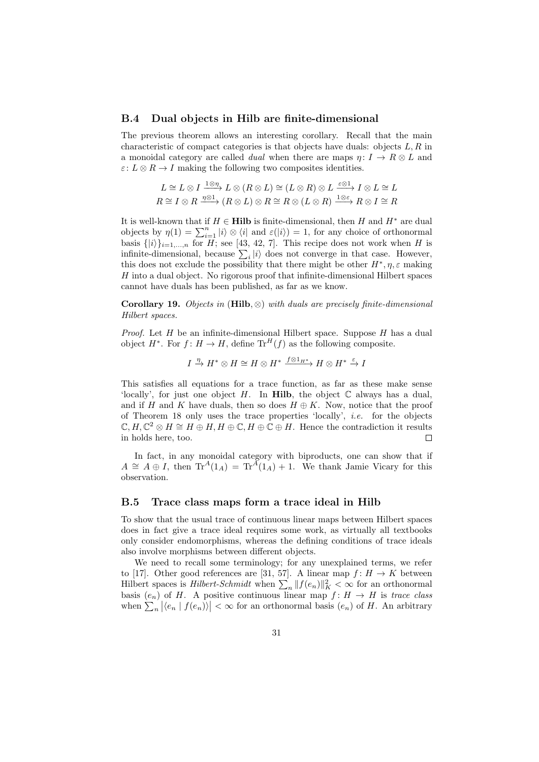#### B.4 Dual objects in Hilb are finite-dimensional

The previous theorem allows an interesting corollary. Recall that the main characteristic of compact categories is that objects have duals: objects  $L, R$  in a monoidal category are called *dual* when there are maps  $\eta: I \to R \otimes L$  and  $\varepsilon: L \otimes R \to I$  making the following two composites identities.

$$
L \cong L \otimes I \xrightarrow{1 \otimes \eta} L \otimes (R \otimes L) \cong (L \otimes R) \otimes L \xrightarrow{\varepsilon \otimes 1} I \otimes L \cong L
$$
  

$$
R \cong I \otimes R \xrightarrow{\eta \otimes 1} (R \otimes L) \otimes R \cong R \otimes (L \otimes R) \xrightarrow{1 \otimes \varepsilon} R \otimes I \cong R
$$

It is well-known that if  $H \in \mathbf{Hilb}$  is finite-dimensional, then H and  $H^*$  are dual objects by  $\eta(1) = \sum_{i=1}^n |i\rangle \otimes \langle i|$  and  $\varepsilon(|i\rangle) = 1$ , for any choice of orthonormal basis  $\{|i\rangle\}_{i=1,\ldots,n}$  for H; see [43, 42, 7]. This recipe does not work when H is infinite-dimensional, because  $\sum_i |i\rangle$  does not converge in that case. However, this does not exclude the possibility that there might be other  $H^*, \eta, \varepsilon$  making  $H$  into a dual object. No rigorous proof that infinite-dimensional Hilbert spaces cannot have duals has been published, as far as we know.

Corollary 19. Objects in (Hilb,  $\otimes$ ) with duals are precisely finite-dimensional Hilbert spaces.

*Proof.* Let  $H$  be an infinite-dimensional Hilbert space. Suppose  $H$  has a dual object  $H^*$ . For  $f: H \to H$ , define  $\text{Tr}^H(f)$  as the following composite.

 $I \stackrel{\eta}{\rightarrow} H^* \otimes H \cong H \otimes H^* \stackrel{f \otimes 1_{H^*}}{\rightarrow} H \otimes H^* \stackrel{\varepsilon}{\rightarrow} I$ 

This satisfies all equations for a trace function, as far as these make sense 'locally', for just one object H. In Hilb, the object  $\mathbb C$  always has a dual, and if H and K have duals, then so does  $H \oplus K$ . Now, notice that the proof of Theorem 18 only uses the trace properties 'locally', i.e. for the objects  $\mathbb{C}, H, \mathbb{C}^2 \otimes H \cong H \oplus H, H \oplus \mathbb{C}, H \oplus \mathbb{C} \oplus H$ . Hence the contradiction it results in holds here, too.  $\Box$ 

In fact, in any monoidal category with biproducts, one can show that if  $A \cong A \oplus I$ , then  $\text{Tr}^A(1_A) = \text{Tr}^A(1_A) + 1$ . We thank Jamie Vicary for this observation.

### B.5 Trace class maps form a trace ideal in Hilb

To show that the usual trace of continuous linear maps between Hilbert spaces does in fact give a trace ideal requires some work, as virtually all textbooks only consider endomorphisms, whereas the defining conditions of trace ideals also involve morphisms between different objects.

We need to recall some terminology; for any unexplained terms, we refer to [17]. Other good references are [31, 57]. A linear map  $f: H \to K$  between Hilbert spaces is *Hilbert-Schmidt* when  $\sum_{n} ||f(e_n)||_K^2 < \infty$  for an orthonormal basis  $(e_n)$  of H. A positive continuous linear map  $f: H \to H$  is trace class when  $\sum_{n} |\langle e_n | f(e_n) \rangle| < \infty$  for an orthonormal basis  $(e_n)$  of H. An arbitrary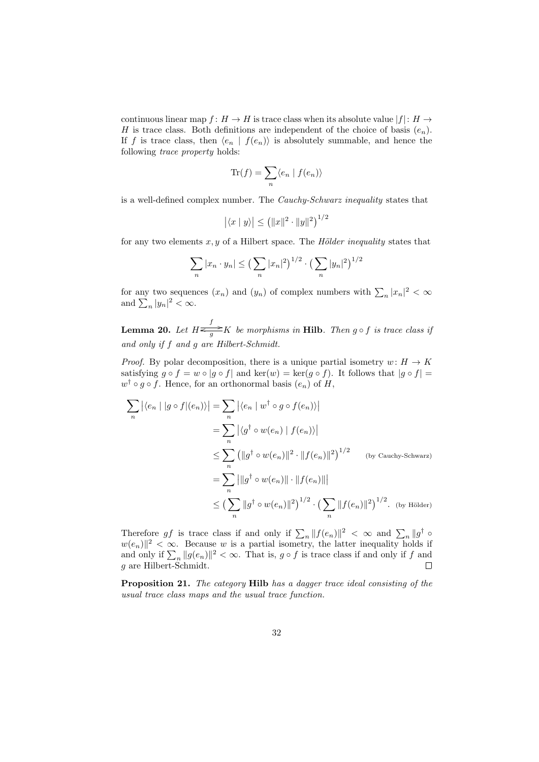continuous linear map  $f: H \to H$  is trace class when its absolute value  $|f|: H \to$ H is trace class. Both definitions are independent of the choice of basis  $(e_n)$ . If f is trace class, then  $\langle e_n | f(e_n) \rangle$  is absolutely summable, and hence the following trace property holds:

$$
\text{Tr}(f) = \sum_{n} \langle e_n | f(e_n) \rangle
$$

is a well-defined complex number. The Cauchy-Schwarz inequality states that

$$
|\langle x | y \rangle| \le (||x||^2 \cdot ||y||^2)^{1/2}
$$

for any two elements  $x, y$  of a Hilbert space. The *Hölder inequality* states that

$$
\sum_{n} |x_n \cdot y_n| \le \left(\sum_{n} |x_n|^2\right)^{1/2} \cdot \left(\sum_{n} |y_n|^2\right)^{1/2}
$$

for any two sequences  $(x_n)$  and  $(y_n)$  of complex numbers with  $\sum_n |x_n|^2 < \infty$ and  $\sum_{n} |y_n|^2 < \infty$ .

**Lemma 20.** Let  $H \stackrel{f}{\leq_{} g} K$  be morphisms in **Hilb**. Then  $g \circ f$  is trace class if and only if f and g are Hilbert-Schmidt.

*Proof.* By polar decomposition, there is a unique partial isometry  $w: H \to K$ satisfying  $g \circ f = w \circ |g \circ f|$  and ker $(w) = \ker(g \circ f)$ . It follows that  $|g \circ f| =$  $w^{\dagger} \circ g \circ f$ . Hence, for an orthonormal basis  $(e_n)$  of H,

$$
\sum_{n} |\langle e_n | g \circ f | (e_n) \rangle| = \sum_{n} |\langle e_n | w^{\dagger} \circ g \circ f (e_n) \rangle|
$$
  
\n
$$
= \sum_{n} |\langle g^{\dagger} \circ w(e_n) | f(e_n) \rangle|
$$
  
\n
$$
\leq \sum_{n} (||g^{\dagger} \circ w(e_n)||^2 \cdot ||f(e_n)||^2)^{1/2} \text{ (by Cauchy-Schwarz)}
$$
  
\n
$$
= \sum_{n} ||g^{\dagger} \circ w(e_n)|| \cdot ||f(e_n)|||
$$
  
\n
$$
\leq (\sum_{n} ||g^{\dagger} \circ w(e_n)||^2)^{1/2} \cdot (\sum_{n} ||f(e_n)||^2)^{1/2}. \text{ (by Hölder)}
$$

Therefore gf is trace class if and only if  $\sum_{n} ||f(e_n)||^2 < \infty$  and  $\sum_{n} ||g^{\dagger} \circ$  $|w(e_n)|^2 < \infty$ . Because w is a partial isometry, the latter inequality holds if and only if  $\sum_{n} ||g(e_n)||^2 < \infty$ . That is,  $g \circ f$  is trace class if and only if f and g are Hilbert-Schmidt.  $\Box$ 

Proposition 21. The category Hilb has a dagger trace ideal consisting of the usual trace class maps and the usual trace function.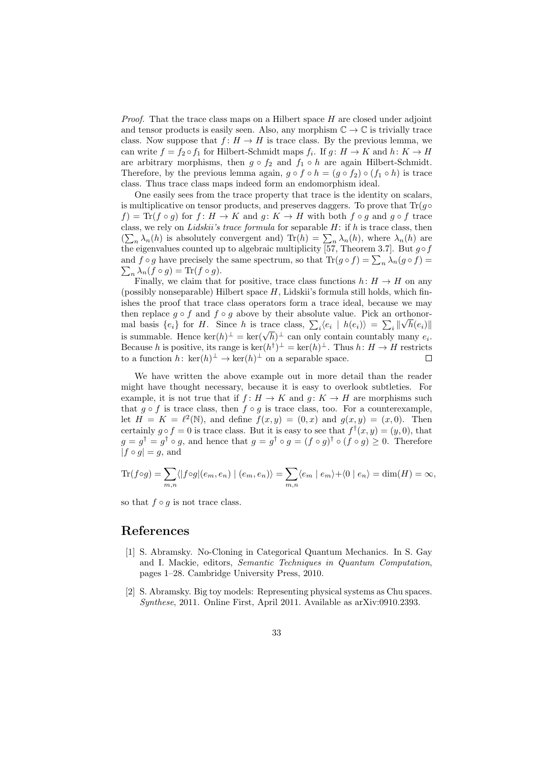Proof. That the trace class maps on a Hilbert space H are closed under adjoint and tensor products is easily seen. Also, any morphism  $\mathbb{C} \to \mathbb{C}$  is trivially trace class. Now suppose that  $f: H \to H$  is trace class. By the previous lemma, we can write  $f = f_2 \circ f_1$  for Hilbert-Schmidt maps  $f_i$ . If  $g: H \to K$  and  $h: K \to H$ are arbitrary morphisms, then  $g \circ f_2$  and  $f_1 \circ h$  are again Hilbert-Schmidt. Therefore, by the previous lemma again,  $g \circ f \circ h = (g \circ f_2) \circ (f_1 \circ h)$  is trace class. Thus trace class maps indeed form an endomorphism ideal.

One easily sees from the trace property that trace is the identity on scalars, is multiplicative on tensor products, and preserves daggers. To prove that  $\text{Tr}(g \circ$  $f$ ) = Tr( $f \circ g$ ) for  $f : H \to K$  and  $g : K \to H$  with both  $f \circ g$  and  $g \circ f$  trace class, we rely on Lidskii's trace formula for separable  $H$ : if  $h$  is trace class, then  $(\sum_n \lambda_n(h)$  is absolutely convergent and) Tr $(h) = \sum_n \lambda_n(h)$ , where  $\lambda_n(h)$  are the eigenvalues counted up to algebraic multiplicity [57, Theorem 3.7]. But  $g \circ f$ and  $f \circ g$  have precisely the same spectrum, so that  $\text{Tr}(g \circ f) = \sum_n \lambda_n (g \circ f) = \sum_n \lambda_n (f \circ g) = \text{Tr}(f \circ g)$ .  $_n \lambda_n(f \circ g) = \text{Tr}(f \circ g).$ 

Finally, we claim that for positive, trace class functions  $h: H \to H$  on any (possibly nonseparable) Hilbert space  $H$ , Lidskii's formula still holds, which finishes the proof that trace class operators form a trace ideal, because we may then replace  $g \circ f$  and  $f \circ g$  above by their absolute value. Pick an orthonormal basis  $\{e_i\}$  for H. Since h is trace class,  $\sum_i \langle e_i \mid h(e_i) \rangle = \sum_i ||\sqrt{h(e_i)}||$ is summable. Hence ker $(h)^{\perp} = \text{ker}(\sqrt{h})^{\perp}$  can only contain countably many  $e_i$ . Because h is positive, its range is  $\ker(h^{\dagger})^{\perp} = \ker(h)^{\perp}$ . Thus  $h: H \to H$  restricts to a function  $h: \ker(h)^{\perp} \to \ker(h)^{\perp}$  on a separable space.  $\Box$ 

We have written the above example out in more detail than the reader might have thought necessary, because it is easy to overlook subtleties. For example, it is not true that if  $f: H \to K$  and  $g: K \to H$  are morphisms such that  $g \circ f$  is trace class, then  $f \circ g$  is trace class, too. For a counterexample, let  $H = K = \ell^2(\mathbb{N})$ , and define  $f(x, y) = (0, x)$  and  $g(x, y) = (x, 0)$ . Then certainly  $g \circ f = 0$  is trace class. But it is easy to see that  $f^{\dagger}(x, y) = (y, 0)$ , that  $g = g^{\dagger} = g^{\dagger} \circ g$ , and hence that  $g = g^{\dagger} \circ g = (f \circ g)^{\dagger} \circ (f \circ g) \geq 0$ . Therefore  $|f \circ g| = g$ , and

$$
\operatorname{Tr}(f \circ g) = \sum_{m,n} \langle |f \circ g|(e_m, e_n) | (e_m, e_n) \rangle = \sum_{m,n} \langle e_m | e_m \rangle + \langle 0 | e_n \rangle = \dim(H) = \infty,
$$

so that  $f \circ q$  is not trace class.

### References

- [1] S. Abramsky. No-Cloning in Categorical Quantum Mechanics. In S. Gay and I. Mackie, editors, Semantic Techniques in Quantum Computation, pages 1–28. Cambridge University Press, 2010.
- [2] S. Abramsky. Big toy models: Representing physical systems as Chu spaces. Synthese, 2011. Online First, April 2011. Available as arXiv:0910.2393.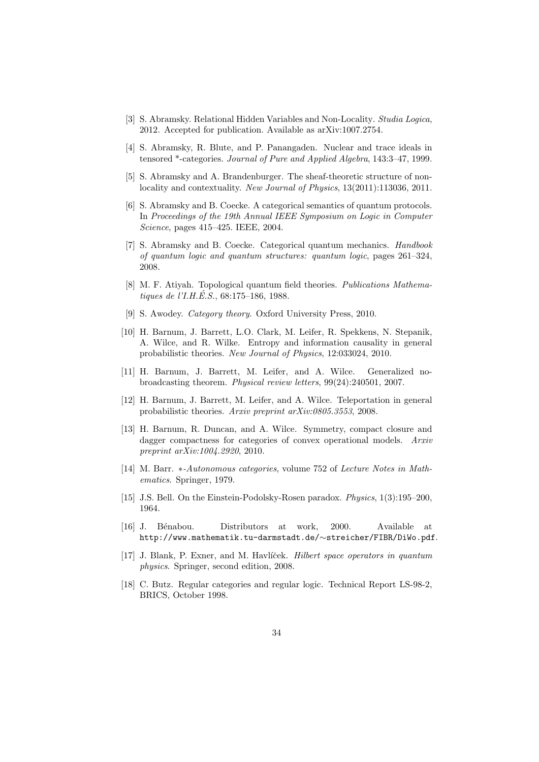- [3] S. Abramsky. Relational Hidden Variables and Non-Locality. Studia Logica, 2012. Accepted for publication. Available as arXiv:1007.2754.
- [4] S. Abramsky, R. Blute, and P. Panangaden. Nuclear and trace ideals in tensored \*-categories. Journal of Pure and Applied Algebra, 143:3–47, 1999.
- [5] S. Abramsky and A. Brandenburger. The sheaf-theoretic structure of nonlocality and contextuality. New Journal of Physics, 13(2011):113036, 2011.
- [6] S. Abramsky and B. Coecke. A categorical semantics of quantum protocols. In Proceedings of the 19th Annual IEEE Symposium on Logic in Computer Science, pages 415–425. IEEE, 2004.
- [7] S. Abramsky and B. Coecke. Categorical quantum mechanics. Handbook of quantum logic and quantum structures: quantum logic, pages 261–324, 2008.
- [8] M. F. Atiyah. Topological quantum field theories. Publications Mathematiques de l'I.H.É.S.,  $68:175-186$ , 1988.
- [9] S. Awodey. Category theory. Oxford University Press, 2010.
- [10] H. Barnum, J. Barrett, L.O. Clark, M. Leifer, R. Spekkens, N. Stepanik, A. Wilce, and R. Wilke. Entropy and information causality in general probabilistic theories. New Journal of Physics, 12:033024, 2010.
- [11] H. Barnum, J. Barrett, M. Leifer, and A. Wilce. Generalized nobroadcasting theorem. Physical review letters, 99(24):240501, 2007.
- [12] H. Barnum, J. Barrett, M. Leifer, and A. Wilce. Teleportation in general probabilistic theories. Arxiv preprint arXiv:0805.3553, 2008.
- [13] H. Barnum, R. Duncan, and A. Wilce. Symmetry, compact closure and dagger compactness for categories of convex operational models. Arxiv preprint arXiv:1004.2920, 2010.
- [14] M. Barr. \*-Autonomous categories, volume 752 of Lecture Notes in Mathematics. Springer, 1979.
- [15] J.S. Bell. On the Einstein-Podolsky-Rosen paradox. Physics, 1(3):195–200, 1964.
- [16] J. B´enabou. Distributors at work, 2000. Available at http://www.mathematik.tu-darmstadt.de/∼streicher/FIBR/DiWo.pdf.
- [17] J. Blank, P. Exner, and M. Havlíček. *Hilbert space operators in quantum* physics. Springer, second edition, 2008.
- [18] C. Butz. Regular categories and regular logic. Technical Report LS-98-2, BRICS, October 1998.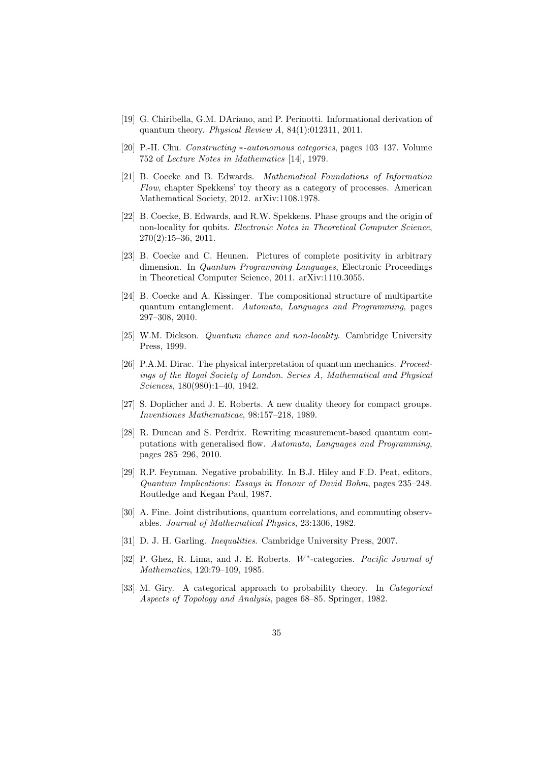- [19] G. Chiribella, G.M. DAriano, and P. Perinotti. Informational derivation of quantum theory. Physical Review A, 84(1):012311, 2011.
- [20] P.-H. Chu. Constructing ∗-autonomous categories, pages 103–137. Volume 752 of Lecture Notes in Mathematics [14], 1979.
- [21] B. Coecke and B. Edwards. Mathematical Foundations of Information Flow, chapter Spekkens' toy theory as a category of processes. American Mathematical Society, 2012. arXiv:1108.1978.
- [22] B. Coecke, B. Edwards, and R.W. Spekkens. Phase groups and the origin of non-locality for qubits. Electronic Notes in Theoretical Computer Science, 270(2):15–36, 2011.
- [23] B. Coecke and C. Heunen. Pictures of complete positivity in arbitrary dimension. In *Quantum Programming Languages*, Electronic Proceedings in Theoretical Computer Science, 2011. arXiv:1110.3055.
- [24] B. Coecke and A. Kissinger. The compositional structure of multipartite quantum entanglement. Automata, Languages and Programming, pages 297–308, 2010.
- [25] W.M. Dickson. Quantum chance and non-locality. Cambridge University Press, 1999.
- [26] P.A.M. Dirac. The physical interpretation of quantum mechanics. *Proceed*ings of the Royal Society of London. Series A, Mathematical and Physical Sciences, 180(980):1–40, 1942.
- [27] S. Doplicher and J. E. Roberts. A new duality theory for compact groups. Inventiones Mathematicae, 98:157–218, 1989.
- [28] R. Duncan and S. Perdrix. Rewriting measurement-based quantum computations with generalised flow. Automata, Languages and Programming, pages 285–296, 2010.
- [29] R.P. Feynman. Negative probability. In B.J. Hiley and F.D. Peat, editors, Quantum Implications: Essays in Honour of David Bohm, pages 235–248. Routledge and Kegan Paul, 1987.
- [30] A. Fine. Joint distributions, quantum correlations, and commuting observables. Journal of Mathematical Physics, 23:1306, 1982.
- [31] D. J. H. Garling. Inequalities. Cambridge University Press, 2007.
- [32] P. Ghez, R. Lima, and J. E. Roberts. W<sup>\*</sup>-categories. Pacific Journal of Mathematics, 120:79–109, 1985.
- [33] M. Giry. A categorical approach to probability theory. In *Categorical* Aspects of Topology and Analysis, pages 68–85. Springer, 1982.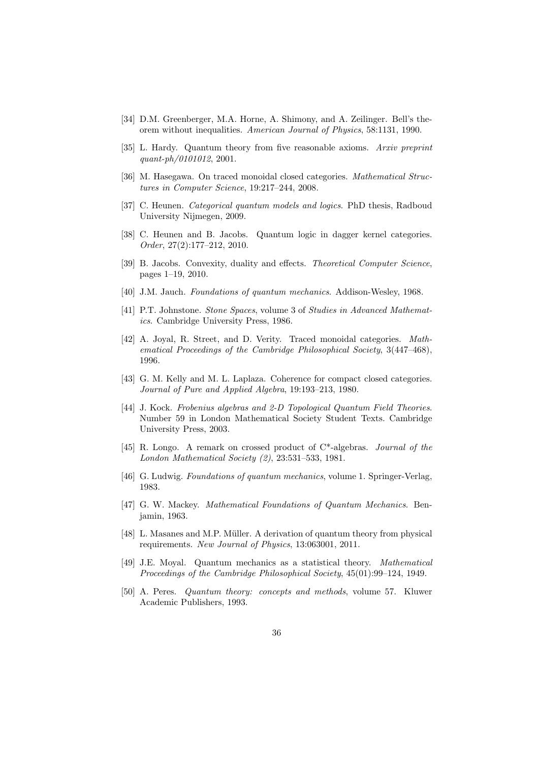- [34] D.M. Greenberger, M.A. Horne, A. Shimony, and A. Zeilinger. Bell's theorem without inequalities. American Journal of Physics, 58:1131, 1990.
- [35] L. Hardy. Quantum theory from five reasonable axioms. Arxiv preprint quant-ph/0101012, 2001.
- [36] M. Hasegawa. On traced monoidal closed categories. Mathematical Structures in Computer Science, 19:217–244, 2008.
- [37] C. Heunen. *Categorical quantum models and logics*. PhD thesis, Radboud University Nijmegen, 2009.
- [38] C. Heunen and B. Jacobs. Quantum logic in dagger kernel categories. Order, 27(2):177–212, 2010.
- [39] B. Jacobs. Convexity, duality and effects. *Theoretical Computer Science*, pages 1–19, 2010.
- [40] J.M. Jauch. Foundations of quantum mechanics. Addison-Wesley, 1968.
- [41] P.T. Johnstone. Stone Spaces, volume 3 of Studies in Advanced Mathematics. Cambridge University Press, 1986.
- [42] A. Joyal, R. Street, and D. Verity. Traced monoidal categories. Mathematical Proceedings of the Cambridge Philosophical Society, 3(447–468), 1996.
- [43] G. M. Kelly and M. L. Laplaza. Coherence for compact closed categories. Journal of Pure and Applied Algebra, 19:193–213, 1980.
- [44] J. Kock. Frobenius algebras and 2-D Topological Quantum Field Theories. Number 59 in London Mathematical Society Student Texts. Cambridge University Press, 2003.
- [45] R. Longo. A remark on crossed product of C\*-algebras. Journal of the London Mathematical Society (2), 23:531–533, 1981.
- [46] G. Ludwig. Foundations of quantum mechanics, volume 1. Springer-Verlag, 1983.
- [47] G. W. Mackey. Mathematical Foundations of Quantum Mechanics. Benjamin, 1963.
- [48] L. Masanes and M.P. Müller. A derivation of quantum theory from physical requirements. New Journal of Physics, 13:063001, 2011.
- [49] J.E. Moyal. Quantum mechanics as a statistical theory. Mathematical Proceedings of the Cambridge Philosophical Society, 45(01):99–124, 1949.
- [50] A. Peres. Quantum theory: concepts and methods, volume 57. Kluwer Academic Publishers, 1993.